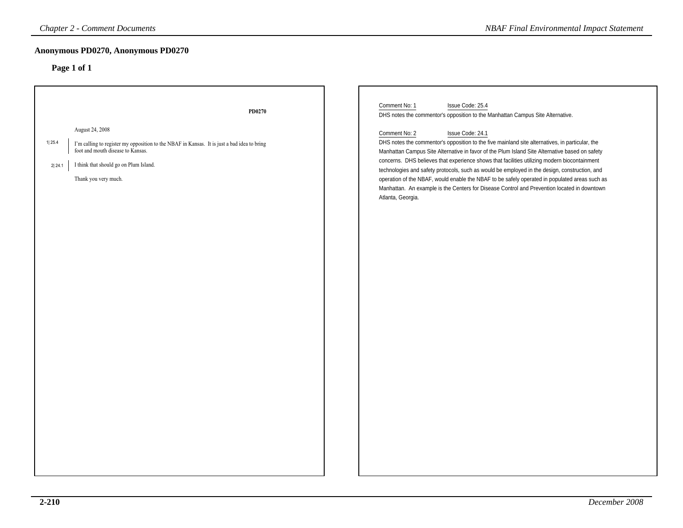| <b>Chapter 2 - Comment Documents</b>                                                                                                                                                                                                       |        | <b>NBAF Final Environmental Impact Statement</b>                                                                                                                                                                                                                                                                                                                                                                                                                                                                                                                                                                                                                                                                                                                                    |
|--------------------------------------------------------------------------------------------------------------------------------------------------------------------------------------------------------------------------------------------|--------|-------------------------------------------------------------------------------------------------------------------------------------------------------------------------------------------------------------------------------------------------------------------------------------------------------------------------------------------------------------------------------------------------------------------------------------------------------------------------------------------------------------------------------------------------------------------------------------------------------------------------------------------------------------------------------------------------------------------------------------------------------------------------------------|
| Anonymous PD0270, Anonymous PD0270<br>Page 1 of 1                                                                                                                                                                                          |        |                                                                                                                                                                                                                                                                                                                                                                                                                                                                                                                                                                                                                                                                                                                                                                                     |
| August 24, 2008<br>1  25.4<br>I'm calling to register my opposition to the NBAF in Kansas. It is just a bad idea to bring<br>foot and mouth disease to Kansas.<br>I think that should go on Plum Island.<br>2 24.1<br>Thank you very much. | PD0270 | Comment No: 1<br>Issue Code: 25.4<br>DHS notes the commentor's opposition to the Manhattan Campus Site Alternative.<br>Comment No: 2<br>Issue Code: 24.1<br>DHS notes the commentor's opposition to the five mainland site alternatives, in particular, the<br>Manhattan Campus Site Alternative in favor of the Plum Island Site Alternative based on safety<br>concerns. DHS believes that experience shows that facilities utilizing modern biocontainment<br>technologies and safety protocols, such as would be employed in the design, construction, and<br>operation of the NBAF, would enable the NBAF to be safely operated in populated areas such as<br>Manhattan. An example is the Centers for Disease Control and Prevention located in downtown<br>Atlanta, Georgia. |
|                                                                                                                                                                                                                                            |        |                                                                                                                                                                                                                                                                                                                                                                                                                                                                                                                                                                                                                                                                                                                                                                                     |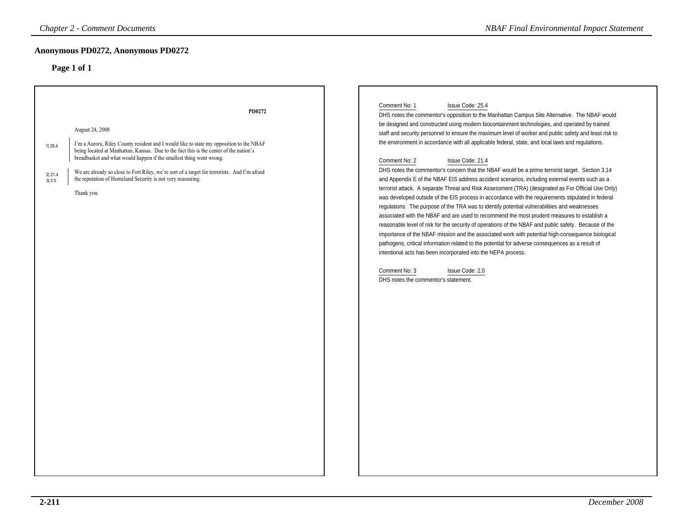### **Anonymous PD0272, Anonymous PD0272**

|                           | <b>Chapter 2 - Comment Documents</b>                                                                                                                                                                                                                                                                                                                                                                                                                               | <b>NBAF Final Environmental Impact Statement</b>                                                                                                                                                                                                                                                                                                                                                                                                                                                                                                                                                                                                                                                                                                                                                                                                                                                                                                                                                                                                                                                                                                                                                                                                                                                                                                                                                                                                                                                                                                                        |
|---------------------------|--------------------------------------------------------------------------------------------------------------------------------------------------------------------------------------------------------------------------------------------------------------------------------------------------------------------------------------------------------------------------------------------------------------------------------------------------------------------|-------------------------------------------------------------------------------------------------------------------------------------------------------------------------------------------------------------------------------------------------------------------------------------------------------------------------------------------------------------------------------------------------------------------------------------------------------------------------------------------------------------------------------------------------------------------------------------------------------------------------------------------------------------------------------------------------------------------------------------------------------------------------------------------------------------------------------------------------------------------------------------------------------------------------------------------------------------------------------------------------------------------------------------------------------------------------------------------------------------------------------------------------------------------------------------------------------------------------------------------------------------------------------------------------------------------------------------------------------------------------------------------------------------------------------------------------------------------------------------------------------------------------------------------------------------------------|
|                           | Anonymous PD0272, Anonymous PD0272<br>Page 1 of 1                                                                                                                                                                                                                                                                                                                                                                                                                  |                                                                                                                                                                                                                                                                                                                                                                                                                                                                                                                                                                                                                                                                                                                                                                                                                                                                                                                                                                                                                                                                                                                                                                                                                                                                                                                                                                                                                                                                                                                                                                         |
| 1 25.4<br>2 21.4<br>3 2.0 | PD0272<br>August 24, 2008<br>I'm a Aurora, Riley County resident and I would like to state my opposition to the NBAF<br>being located at Manhattan, Kansas. Due to the fact this is the center of the nation's<br>breadbasket and what would happen if the smallest thing went wrong.<br>We are already so close to Fort Riley, we're sort of a target for terrorists. And I'm afraid<br>the reputation of Homeland Security is not very reassuring.<br>Thank you. | Comment No: 1<br>Issue Code: 25.4<br>DHS notes the commentor's opposition to the Manhattan Campus Site Alternative. The NBAF would<br>be designed and constructed using modern biocontainment technologies, and operated by trained<br>staff and security personnel to ensure the maximum level of worker and public safety and least risk to<br>the environment in accordance with all applicable federal, state, and local laws and regulations.<br>Comment No: 2<br>Issue Code: 21.4<br>DHS notes the commentor's concern that the NBAF would be a prime terrorist target. Section 3.14<br>and Appendix E of the NBAF EIS address accident scenarios, including external events such as a<br>terrorist attack. A separate Threat and Risk Assessment (TRA) (designated as For Official Use Only)<br>was developed outside of the EIS process in accordance with the requirements stipulated in federal<br>regulations. The purpose of the TRA was to identify potential vulnerabilities and weaknesses<br>associated with the NBAF and are used to recommend the most prudent measures to establish a<br>reasonable level of risk for the security of operations of the NBAF and public safety. Because of the<br>importance of the NBAF mission and the associated work with potential high-consequence biological<br>pathogens, critical information related to the potential for adverse consequences as a result of<br>intentional acts has been incorporated into the NEPA process.<br>Comment No: 3<br>Issue Code: 2.0<br>DHS notes the commentor's statement. |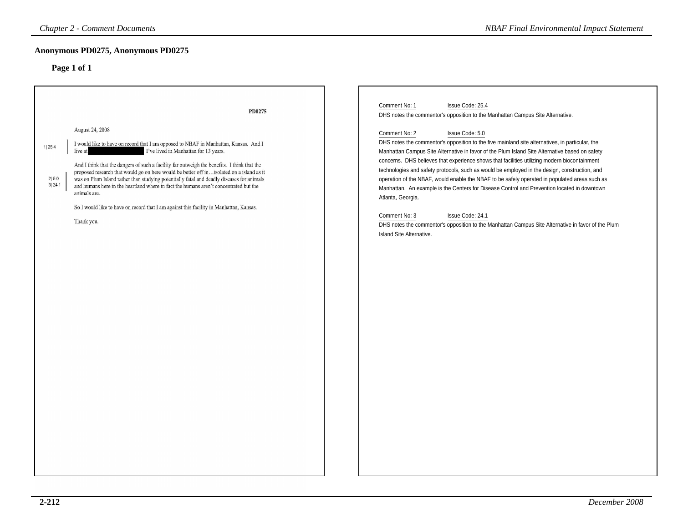### **Anonymous PD0275, Anonymous PD0275**

| <b>Chapter 2 - Comment Documents</b>                                                                                                                                                                                                                                                                                                                                                                                                                                                                                                                                                                                                                                                                         | <b>NBAF Final Environmental Impact Statement</b>                                                                                                                                                                                                                                                                                                                                                                                                                                                                                                                                                                                                                                                                                                                                                                                                                                                                                                          |
|--------------------------------------------------------------------------------------------------------------------------------------------------------------------------------------------------------------------------------------------------------------------------------------------------------------------------------------------------------------------------------------------------------------------------------------------------------------------------------------------------------------------------------------------------------------------------------------------------------------------------------------------------------------------------------------------------------------|-----------------------------------------------------------------------------------------------------------------------------------------------------------------------------------------------------------------------------------------------------------------------------------------------------------------------------------------------------------------------------------------------------------------------------------------------------------------------------------------------------------------------------------------------------------------------------------------------------------------------------------------------------------------------------------------------------------------------------------------------------------------------------------------------------------------------------------------------------------------------------------------------------------------------------------------------------------|
| Anonymous PD0275, Anonymous PD0275<br>Page 1 of 1                                                                                                                                                                                                                                                                                                                                                                                                                                                                                                                                                                                                                                                            |                                                                                                                                                                                                                                                                                                                                                                                                                                                                                                                                                                                                                                                                                                                                                                                                                                                                                                                                                           |
| PD0275<br>August 24, 2008<br>I would like to have on record that I am opposed to NBAF in Manhattan, Kansas. And I<br>1 25.4<br>I've lived in Manhattan for 13 years.<br>live at<br>And I think that the dangers of such a facility far outweigh the benefits. I think that the<br>proposed research that would go on here would be better off inisolated on a island as it<br>2 5.0<br>was on Plum Island rather than studying potentially fatal and deadly diseases for animals<br>3 24.1<br>and humans here in the heartland where in fact the humans aren't concentrated but the<br>animals are.<br>So I would like to have on record that I am against this facility in Manhattan, Kansas.<br>Thank you. | Comment No: 1<br>Issue Code: 25.4<br>DHS notes the commentor's opposition to the Manhattan Campus Site Alternative.<br>Comment No: 2<br>Issue Code: 5.0<br>DHS notes the commentor's opposition to the five mainland site alternatives, in particular, the<br>Manhattan Campus Site Alternative in favor of the Plum Island Site Alternative based on safety<br>concerns. DHS believes that experience shows that facilities utilizing modern biocontainment<br>technologies and safety protocols, such as would be employed in the design, construction, and<br>operation of the NBAF, would enable the NBAF to be safely operated in populated areas such as<br>Manhattan. An example is the Centers for Disease Control and Prevention located in downtown<br>Atlanta, Georgia.<br>Issue Code: 24.1<br>Comment No: 3<br>DHS notes the commentor's opposition to the Manhattan Campus Site Alternative in favor of the Plum<br>Island Site Alternative. |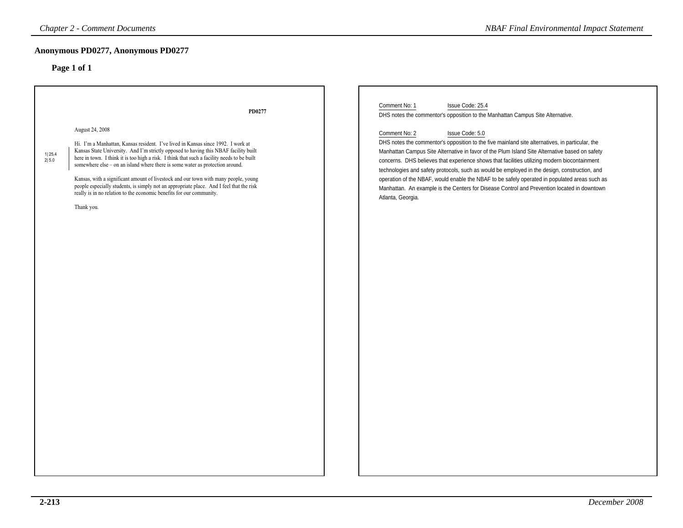# **Anonymous PD0277, Anonymous PD0277**

| <b>Chapter 2 - Comment Documents</b>                                                                                                                                                                                                                                                                                                                                                                                                                                                                                                                                                                                                                                     |        | <b>NBAF Final Environmental Impact Statement</b>                                                                                                                                                                                                                                                                                                                                                                                                                                                                                                                                                                                                                                                                                                                                   |
|--------------------------------------------------------------------------------------------------------------------------------------------------------------------------------------------------------------------------------------------------------------------------------------------------------------------------------------------------------------------------------------------------------------------------------------------------------------------------------------------------------------------------------------------------------------------------------------------------------------------------------------------------------------------------|--------|------------------------------------------------------------------------------------------------------------------------------------------------------------------------------------------------------------------------------------------------------------------------------------------------------------------------------------------------------------------------------------------------------------------------------------------------------------------------------------------------------------------------------------------------------------------------------------------------------------------------------------------------------------------------------------------------------------------------------------------------------------------------------------|
| Anonymous PD0277, Anonymous PD0277<br>Page 1 of 1                                                                                                                                                                                                                                                                                                                                                                                                                                                                                                                                                                                                                        |        |                                                                                                                                                                                                                                                                                                                                                                                                                                                                                                                                                                                                                                                                                                                                                                                    |
| August 24, 2008<br>Hi. I'm a Manhattan, Kansas resident. I've lived in Kansas since 1992. I work at<br>Kansas State University. And I'm strictly opposed to having this NBAF facility built<br>1  25.4<br>here in town. I think it is too high a risk. I think that such a facility needs to be built<br>2 5.0<br>somewhere else - on an island where there is some water as protection around.<br>Kansas, with a significant amount of livestock and our town with many people, young<br>people especially students, is simply not an appropriate place. And I feel that the risk<br>really is in no relation to the economic benefits for our community.<br>Thank you. | PD0277 | Comment No: 1<br>Issue Code: 25.4<br>DHS notes the commentor's opposition to the Manhattan Campus Site Alternative.<br>Comment No: 2<br>Issue Code: 5.0<br>DHS notes the commentor's opposition to the five mainland site alternatives, in particular, the<br>Manhattan Campus Site Alternative in favor of the Plum Island Site Alternative based on safety<br>concerns. DHS believes that experience shows that facilities utilizing modern biocontainment<br>technologies and safety protocols, such as would be employed in the design, construction, and<br>operation of the NBAF, would enable the NBAF to be safely operated in populated areas such as<br>Manhattan. An example is the Centers for Disease Control and Prevention located in downtown<br>Atlanta, Georgia. |
|                                                                                                                                                                                                                                                                                                                                                                                                                                                                                                                                                                                                                                                                          |        |                                                                                                                                                                                                                                                                                                                                                                                                                                                                                                                                                                                                                                                                                                                                                                                    |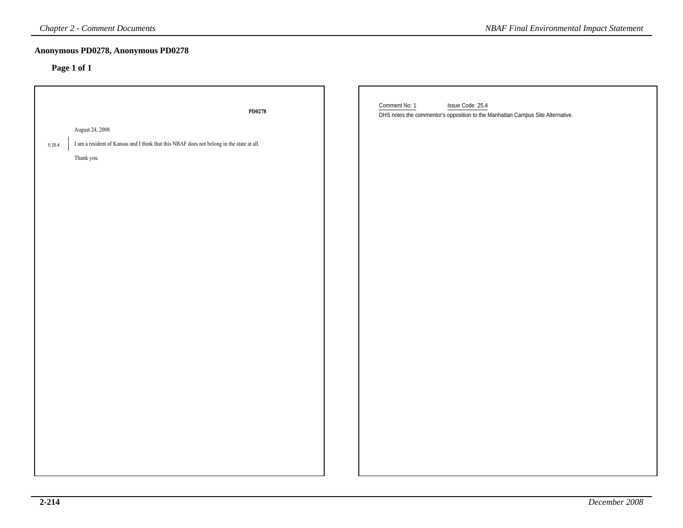| <b>Chapter 2 - Comment Documents</b>                                                                                                 | <b>NBAF Final Environmental Impact Statement</b>                                                                    |
|--------------------------------------------------------------------------------------------------------------------------------------|---------------------------------------------------------------------------------------------------------------------|
| Anonymous PD0278, Anonymous PD0278<br>Page 1 of 1                                                                                    |                                                                                                                     |
| ${\bf P} {\bf D} {\bf 0}$ 278                                                                                                        | Comment No: 1<br>Issue Code: 25.4<br>DHS notes the commentor's opposition to the Manhattan Campus Site Alternative. |
| August 24, 2008<br>I am a resident of Kansas and I think that this NBAF does not belong in the state at all.<br>1 25.4<br>Thank you. |                                                                                                                     |
|                                                                                                                                      |                                                                                                                     |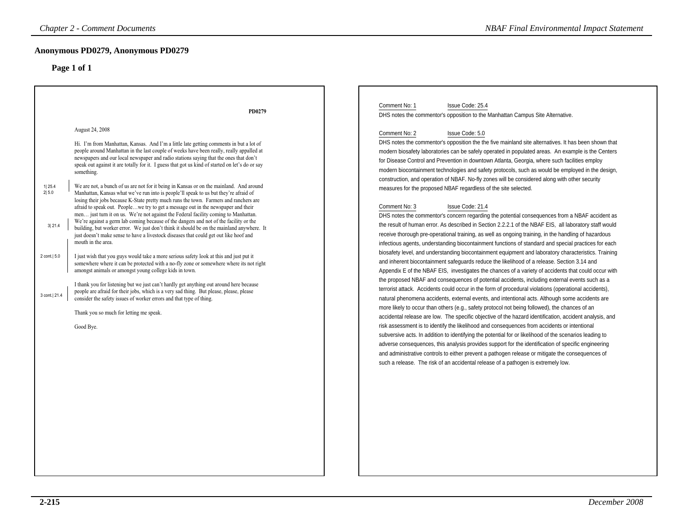| <b>Chapter 2 - Comment Documents</b>                                                                                                                                                                                                                                                                                                                                                                                                                                                                                                                                                                                                                                                                                                                                                                                                                                                                                                                                                                                                                                                                                                                                                                                                                                                                                                                                                                                                                                                                                                                                                                                                                                      | <b>NBAF Final Environmental Impact Statement</b>                                                                                                                                                                                                                                                                                                                                                                                                                                                                                                                                                                                                                                                                                                                                                                                                                                                                                                                                                                                                                                                                                                                                                                                                                                                                                                                                                                                                                                                                                                                                                                                                                                                                                            |
|---------------------------------------------------------------------------------------------------------------------------------------------------------------------------------------------------------------------------------------------------------------------------------------------------------------------------------------------------------------------------------------------------------------------------------------------------------------------------------------------------------------------------------------------------------------------------------------------------------------------------------------------------------------------------------------------------------------------------------------------------------------------------------------------------------------------------------------------------------------------------------------------------------------------------------------------------------------------------------------------------------------------------------------------------------------------------------------------------------------------------------------------------------------------------------------------------------------------------------------------------------------------------------------------------------------------------------------------------------------------------------------------------------------------------------------------------------------------------------------------------------------------------------------------------------------------------------------------------------------------------------------------------------------------------|---------------------------------------------------------------------------------------------------------------------------------------------------------------------------------------------------------------------------------------------------------------------------------------------------------------------------------------------------------------------------------------------------------------------------------------------------------------------------------------------------------------------------------------------------------------------------------------------------------------------------------------------------------------------------------------------------------------------------------------------------------------------------------------------------------------------------------------------------------------------------------------------------------------------------------------------------------------------------------------------------------------------------------------------------------------------------------------------------------------------------------------------------------------------------------------------------------------------------------------------------------------------------------------------------------------------------------------------------------------------------------------------------------------------------------------------------------------------------------------------------------------------------------------------------------------------------------------------------------------------------------------------------------------------------------------------------------------------------------------------|
| Anonymous PD0279, Anonymous PD0279<br>Page 1 of 1                                                                                                                                                                                                                                                                                                                                                                                                                                                                                                                                                                                                                                                                                                                                                                                                                                                                                                                                                                                                                                                                                                                                                                                                                                                                                                                                                                                                                                                                                                                                                                                                                         |                                                                                                                                                                                                                                                                                                                                                                                                                                                                                                                                                                                                                                                                                                                                                                                                                                                                                                                                                                                                                                                                                                                                                                                                                                                                                                                                                                                                                                                                                                                                                                                                                                                                                                                                             |
| PD0279<br>August 24, 2008<br>Hi. I'm from Manhattan, Kansas. And I'm a little late getting comments in but a lot of<br>people around Manhattan in the last couple of weeks have been really, really appalled at<br>newspapers and our local newspaper and radio stations saying that the ones that don't<br>speak out against it are totally for it. I guess that got us kind of started on let's do or say<br>something.<br>We are not, a bunch of us are not for it being in Kansas or on the mainland. And around<br>1 25.4<br>2 5.0<br>Manhattan, Kansas what we've run into is people'll speak to us but they're afraid of<br>losing their jobs because K-State pretty much runs the town. Farmers and ranchers are<br>afraid to speak out. Peoplewe try to get a message out in the newspaper and their<br>men just turn it on us. We're not against the Federal facility coming to Manhattan.<br>We're against a germ lab coming because of the dangers and not of the facility or the<br>3 21.4<br>building, but worker error. We just don't think it should be on the mainland anywhere. It<br>just doesn't make sense to have a livestock diseases that could get out like hoof and<br>mouth in the area.<br>2 cont.  5.0<br>I just wish that you guys would take a more serious safety look at this and just put it<br>somewhere where it can be protected with a no-fly zone or somewhere where its not right<br>amongst animals or amongst young college kids in town.<br>I thank you for listening but we just can't hardly get anything out around here because<br>people are afraid for their jobs, which is a very sad thing. But please, please, please | Comment No: 1<br>Issue Code: 25.4<br>DHS notes the commentor's opposition to the Manhattan Campus Site Alternative.<br>Comment No: 2<br>Issue Code: 5.0<br>DHS notes the commentor's opposition the the five mainland site alternatives. It has been shown that<br>modern biosafety laboratories can be safely operated in populated areas. An example is the Centers<br>for Disease Control and Prevention in downtown Atlanta, Georgia, where such facilities employ<br>modern biocontainment technologies and safety protocols, such as would be employed in the design,<br>construction, and operation of NBAF. No-fly zones will be considered along with other security<br>measures for the proposed NBAF regardless of the site selected.<br>Comment No: 3<br>Issue Code: 21.4<br>DHS notes the commentor's concern regarding the potential consequences from a NBAF accident as<br>the result of human error. As described in Section 2.2.2.1 of the NBAF EIS, all laboratory staff would<br>receive thorough pre-operational training, as well as ongoing training, in the handling of hazardous<br>infectious agents, understanding biocontainment functions of standard and special practices for each<br>biosafety level, and understanding biocontainment equipment and laboratory characteristics. Training<br>and inherent biocontainment safeguards reduce the likelihood of a release. Section 3.14 and<br>Appendix E of the NBAF EIS, investigates the chances of a variety of accidents that could occur with<br>the proposed NBAF and consequences of potential accidents, including external events such as a<br>terrorist attack. Accidents could occur in the form of procedural violations (operational accidents), |
| 3 cont. 21.4<br>consider the safety issues of worker errors and that type of thing.<br>Thank you so much for letting me speak.<br>Good Bye.                                                                                                                                                                                                                                                                                                                                                                                                                                                                                                                                                                                                                                                                                                                                                                                                                                                                                                                                                                                                                                                                                                                                                                                                                                                                                                                                                                                                                                                                                                                               | natural phenomena accidents, external events, and intentional acts. Although some accidents are<br>more likely to occur than others (e.g., safety protocol not being followed), the chances of an<br>accidental release are low. The specific objective of the hazard identification, accident analysis, and<br>risk assessment is to identify the likelihood and consequences from accidents or intentional<br>subversive acts. In addition to identifying the potential for or likelihood of the scenarios leading to<br>adverse consequences, this analysis provides support for the identification of specific engineering<br>and administrative controls to either prevent a pathogen release or mitigate the consequences of<br>such a release. The risk of an accidental release of a pathogen is extremely low.                                                                                                                                                                                                                                                                                                                                                                                                                                                                                                                                                                                                                                                                                                                                                                                                                                                                                                                     |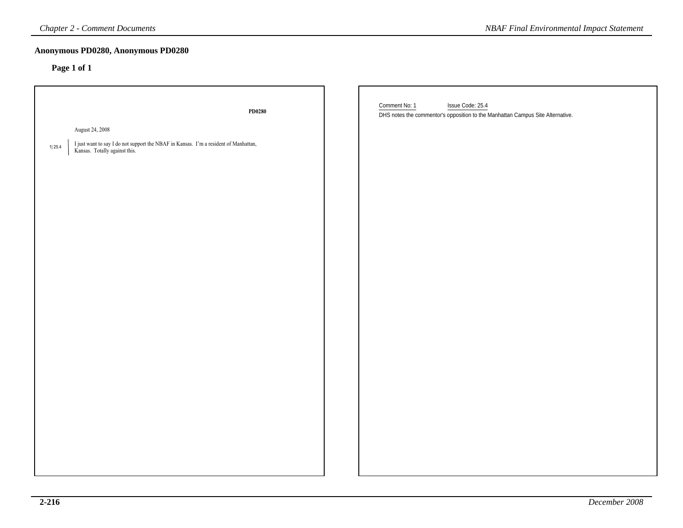| <b>Chapter 2 - Comment Documents</b>                                                                                            | <b>NBAF Final Environmental Impact Statement</b>                                                                    |
|---------------------------------------------------------------------------------------------------------------------------------|---------------------------------------------------------------------------------------------------------------------|
| Anonymous PD0280, Anonymous PD0280<br>Page 1 of 1                                                                               |                                                                                                                     |
| PD0280                                                                                                                          | Comment No: 1<br>Issue Code: 25.4<br>DHS notes the commentor's opposition to the Manhattan Campus Site Alternative. |
| August 24, 2008                                                                                                                 |                                                                                                                     |
| I just want to say I do not support the NBAF in Kansas. I'm a resident of Manhattan,<br>1 25.4<br>Kansas. Totally against this. |                                                                                                                     |
|                                                                                                                                 |                                                                                                                     |
|                                                                                                                                 |                                                                                                                     |
|                                                                                                                                 |                                                                                                                     |
|                                                                                                                                 |                                                                                                                     |
|                                                                                                                                 |                                                                                                                     |
|                                                                                                                                 |                                                                                                                     |
|                                                                                                                                 |                                                                                                                     |
|                                                                                                                                 |                                                                                                                     |
|                                                                                                                                 |                                                                                                                     |
|                                                                                                                                 |                                                                                                                     |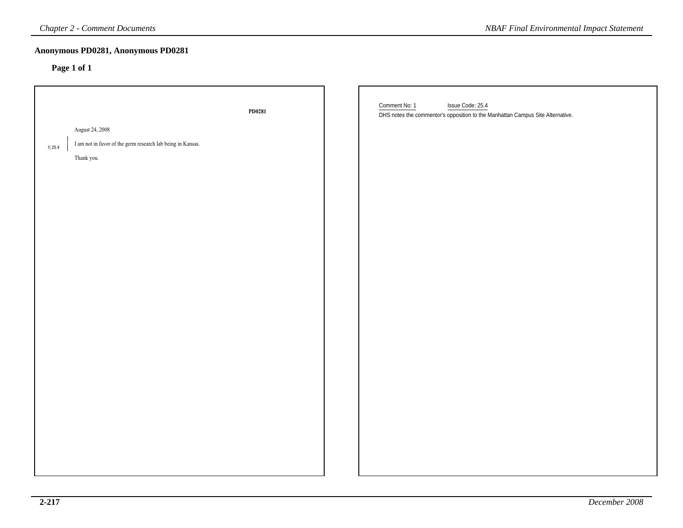| <b>Chapter 2 - Comment Documents</b>                                                                   |        | <b>NBAF Final Environmental Impact Statement</b>                                                                    |
|--------------------------------------------------------------------------------------------------------|--------|---------------------------------------------------------------------------------------------------------------------|
| Anonymous PD0281, Anonymous PD0281<br>Page 1 of 1                                                      |        |                                                                                                                     |
| August 24, 2008<br>I am not in favor of the germ research lab being in Kansas.<br>1 25.4<br>Thank you. | PD0281 | Comment No: 1<br>Issue Code: 25.4<br>DHS notes the commentor's opposition to the Manhattan Campus Site Alternative. |
|                                                                                                        |        |                                                                                                                     |
|                                                                                                        |        |                                                                                                                     |
|                                                                                                        |        |                                                                                                                     |
|                                                                                                        |        |                                                                                                                     |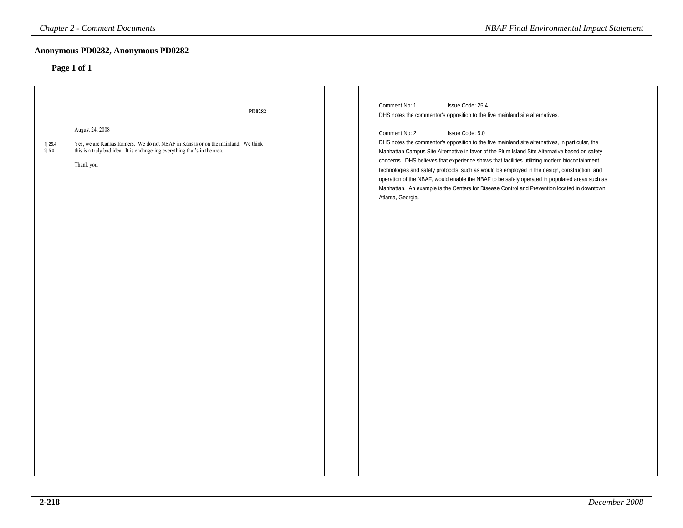### **Anonymous PD0282, Anonymous PD0282**

| <b>Chapter 2 - Comment Documents</b>                                                                                                                                                                                | <b>NBAF Final Environmental Impact Statement</b>                                                                                                                                                                                                                                                                                                                                                                                                                                                                                                                                                                                                            |
|---------------------------------------------------------------------------------------------------------------------------------------------------------------------------------------------------------------------|-------------------------------------------------------------------------------------------------------------------------------------------------------------------------------------------------------------------------------------------------------------------------------------------------------------------------------------------------------------------------------------------------------------------------------------------------------------------------------------------------------------------------------------------------------------------------------------------------------------------------------------------------------------|
| Anonymous PD0282, Anonymous PD0282                                                                                                                                                                                  |                                                                                                                                                                                                                                                                                                                                                                                                                                                                                                                                                                                                                                                             |
| Page 1 of 1                                                                                                                                                                                                         |                                                                                                                                                                                                                                                                                                                                                                                                                                                                                                                                                                                                                                                             |
| PD0282                                                                                                                                                                                                              | Comment No: 1<br>Issue Code: 25.4<br>DHS notes the commentor's opposition to the five mainland site alternatives.                                                                                                                                                                                                                                                                                                                                                                                                                                                                                                                                           |
| August 24, 2008<br>1 25.4<br>Yes, we are Kansas farmers. We do not NBAF in Kansas or on the mainland. We think<br>2 5.0<br>this is a truly bad idea. It is endangering everything that's in the area.<br>Thank you. | Comment No: 2<br>Issue Code: 5.0<br>DHS notes the commentor's opposition to the five mainland site alternatives, in particular, the<br>Manhattan Campus Site Alternative in favor of the Plum Island Site Alternative based on safety<br>concerns. DHS believes that experience shows that facilities utilizing modern biocontainment<br>technologies and safety protocols, such as would be employed in the design, construction, and<br>operation of the NBAF, would enable the NBAF to be safely operated in populated areas such as<br>Manhattan. An example is the Centers for Disease Control and Prevention located in downtown<br>Atlanta, Georgia. |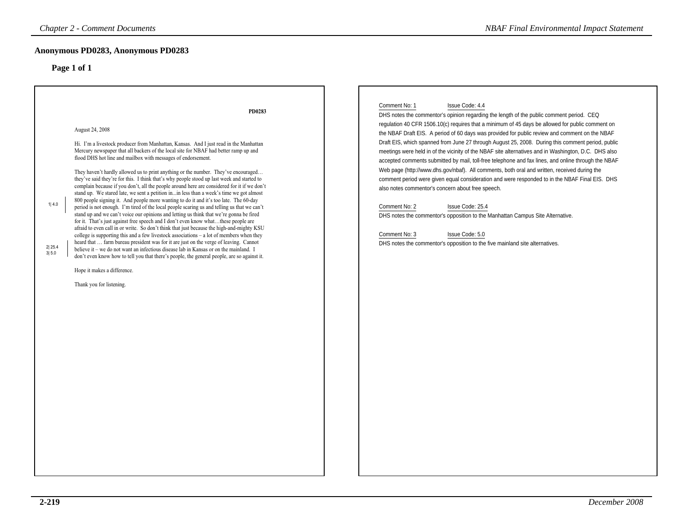# **Anonymous PD0283, Anonymous PD0283**

| <b>Chapter 2 - Comment Documents</b>                                                                                                                                                                                                                                                                                                                                                                                                                                                                                                                                                                                                                                                                                                                                                                                                                                                                                                                                                                                                                                                                                                                                                                                                                                                                                                                                                                                                                                                                                                                                                                | <b>NBAF Final Environmental Impact Statement</b>                                                                                                                                                                                                                                                                                                                                                                                                                                                                                                                                                                                                                                                                                                                                                                                                                                                                                                                                                                                                                                                                                                         |
|-----------------------------------------------------------------------------------------------------------------------------------------------------------------------------------------------------------------------------------------------------------------------------------------------------------------------------------------------------------------------------------------------------------------------------------------------------------------------------------------------------------------------------------------------------------------------------------------------------------------------------------------------------------------------------------------------------------------------------------------------------------------------------------------------------------------------------------------------------------------------------------------------------------------------------------------------------------------------------------------------------------------------------------------------------------------------------------------------------------------------------------------------------------------------------------------------------------------------------------------------------------------------------------------------------------------------------------------------------------------------------------------------------------------------------------------------------------------------------------------------------------------------------------------------------------------------------------------------------|----------------------------------------------------------------------------------------------------------------------------------------------------------------------------------------------------------------------------------------------------------------------------------------------------------------------------------------------------------------------------------------------------------------------------------------------------------------------------------------------------------------------------------------------------------------------------------------------------------------------------------------------------------------------------------------------------------------------------------------------------------------------------------------------------------------------------------------------------------------------------------------------------------------------------------------------------------------------------------------------------------------------------------------------------------------------------------------------------------------------------------------------------------|
| Anonymous PD0283, Anonymous PD0283<br>Page 1 of 1                                                                                                                                                                                                                                                                                                                                                                                                                                                                                                                                                                                                                                                                                                                                                                                                                                                                                                                                                                                                                                                                                                                                                                                                                                                                                                                                                                                                                                                                                                                                                   |                                                                                                                                                                                                                                                                                                                                                                                                                                                                                                                                                                                                                                                                                                                                                                                                                                                                                                                                                                                                                                                                                                                                                          |
| PD0283<br>August 24, 2008<br>Hi. I'm a livestock producer from Manhattan, Kansas. And I just read in the Manhattan<br>Mercury newspaper that all backers of the local site for NBAF had better ramp up and<br>flood DHS hot line and mailbox with messages of endorsement.<br>They haven't hardly allowed us to print anything or the number. They've encouraged<br>they've said they're for this. I think that's why people stood up last week and started to<br>complain because if you don't, all the people around here are considered for it if we don't<br>stand up. We stared late, we sent a petition inin less than a week's time we got almost<br>800 people signing it. And people more wanting to do it and it's too late. The 60-day<br>1 4.0<br>period is not enough. I'm tired of the local people scaring us and telling us that we can't<br>stand up and we can't voice our opinions and letting us think that we're gonna be fired<br>for it. That's just against free speech and I don't even know whatthese people are<br>afraid to even call in or write. So don't think that just because the high-and-mighty KSU<br>college is supporting this and a few livestock associations - a lot of members when they<br>heard that  farm bureau president was for it are just on the verge of leaving. Cannot<br>2 25.4<br>believe it - we do not want an infectious disease lab in Kansas or on the mainland. I<br>3  5.0<br>don't even know how to tell you that there's people, the general people, are so against it.<br>Hope it makes a difference.<br>Thank you for listening. | Comment No: 1<br>Issue Code: 4.4<br>DHS notes the commentor's opinion regarding the length of the public comment period. CEQ<br>regulation 40 CFR 1506.10(c) requires that a minimum of 45 days be allowed for public comment on<br>the NBAF Draft EIS. A period of 60 days was provided for public review and comment on the NBAF<br>Draft EIS, which spanned from June 27 through August 25, 2008. During this comment period, public<br>meetings were held in of the vicinity of the NBAF site alternatives and in Washington, D.C. DHS also<br>accepted comments submitted by mail, toll-free telephone and fax lines, and online through the NBAF<br>Web page (http://www.dhs.gov/nbaf). All comments, both oral and written, received during the<br>comment period were given equal consideration and were responded to in the NBAF Final EIS. DHS<br>also notes commentor's concern about free speech.<br>Comment No: 2<br>Issue Code: 25.4<br>DHS notes the commentor's opposition to the Manhattan Campus Site Alternative.<br>Comment No: 3<br>Issue Code: 5.0<br>DHS notes the commentor's opposition to the five mainland site alternatives. |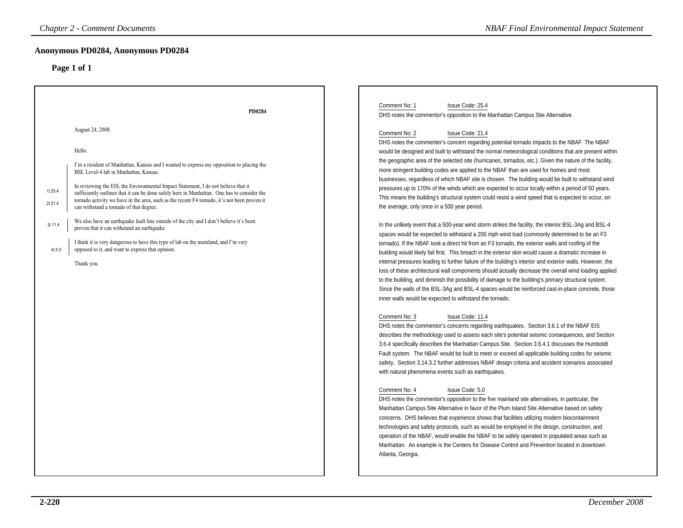| Anonymous PD0284, Anonymous PD0284<br>Page 1 of 1<br>Comment No: 1<br>Issue Code: 25.4<br>PD0284<br>DHS notes the commentor's opposition to the Manhattan Campus Site Alternative.<br>August 24, 2008<br>Comment No: 2<br>Issue Code: 21.4<br>DHS notes the commenter's concern regarding potential tornado impacts to the NBAF. The NBAF<br>Hello.<br>would be designed and built to withstand the normal meteorological conditions that are present within<br>the geographic area of the selected site (hurricanes, tornados, etc.). Given the nature of the facility,<br>I'm a resident of Manhattan, Kansas and I wanted to express my opposition to placing the<br>more stringent building codes are applied to the NBAF than are used for homes and most<br>BSL Level-4 lab in Manhattan, Kansas.<br>businesses, regardless of which NBAF site is chosen. The building would be built to withstand wind<br>In reviewing the EIS, the Environmental Impact Statement, I do not believe that it<br>pressures up to 170% of the winds which are expected to occur locally within a period of 50 years.<br>1 25.4<br>sufficiently outlines that it can be done safely here in Manhattan. One has to consider the<br>This means the building's structural system could resist a wind speed that is expected to occur, on<br>tornado activity we have in the area, such as the recent F4 tornado, it's not been proven it<br>2 21.4<br>the average, only once in a 500 year period.<br>can withstand a tornado of that degree.<br>We also have an earthquake fault line outside of the city and I don't believe it's been<br>3 11.4<br>In the unlikely event that a 500-year wind storm strikes the facility, the interior BSL-3Ag and BSL-4<br>proven that it can withstand an earthquake.<br>spaces would be expected to withstand a 200 mph wind load (commonly determined to be an F3<br>I think it is very dangerous to have this type of lab on the mainland, and I'm very<br>tornado). If the NBAF took a direct hit from an F3 tornado, the exterior walls and roofing of the<br>4 5.0<br>opposed to it, and want to express that opinion.<br>building would likely fail first. This breach in the exterior skin would cause a dramatic increase in<br>internal pressures leading to further failure of the building's interior and exterior walls. However, the<br>Thank you.<br>loss of these architectural wall components should actually decrease the overall wind loading applied<br>to the building, and diminish the possibility of damage to the building's primary structural system.<br>Since the walls of the BSL-3Ag and BSL-4 spaces would be reinforced cast-in-place concrete, those<br>inner walls would be expected to withstand the tornado.<br>Comment No: 3<br>Issue Code: 11.4<br>DHS notes the commentor's concerns regarding earthquakes. Section 3.6.1 of the NBAF EIS<br>describes the methodology used to assess each site's potential seismic consequences, and Section<br>3.6.4 specifically describes the Manhattan Campus Site. Section 3.6.4.1 discusses the Humboldt<br>Fault system. The NBAF would be built to meet or exceed all applicable building codes for seismic<br>safety. Section 3.14.3.2 further addresses NBAF design criteria and accident scenarios associated<br>with natural phenomena events such as earthquakes.<br>Comment No: 4<br>Issue Code: 5.0<br>DHS notes the commentor's opposition to the five mainland site alternatives, in particular, the<br>Manhattan Campus Site Alternative in favor of the Plum Island Site Alternative based on safety<br>concerns. DHS believes that experience shows that facilities utilizing modern biocontainment<br>technologies and safety protocols, such as would be employed in the design, construction, and<br>operation of the NBAF, would enable the NBAF to be safely operated in populated areas such as<br>Manhattan. An example is the Centers for Disease Control and Prevention located in downtown<br>Atlanta, Georgia. | <b>Chapter 2 - Comment Documents</b> | <b>NBAF Final Environmental Impact Statement</b> |
|----------------------------------------------------------------------------------------------------------------------------------------------------------------------------------------------------------------------------------------------------------------------------------------------------------------------------------------------------------------------------------------------------------------------------------------------------------------------------------------------------------------------------------------------------------------------------------------------------------------------------------------------------------------------------------------------------------------------------------------------------------------------------------------------------------------------------------------------------------------------------------------------------------------------------------------------------------------------------------------------------------------------------------------------------------------------------------------------------------------------------------------------------------------------------------------------------------------------------------------------------------------------------------------------------------------------------------------------------------------------------------------------------------------------------------------------------------------------------------------------------------------------------------------------------------------------------------------------------------------------------------------------------------------------------------------------------------------------------------------------------------------------------------------------------------------------------------------------------------------------------------------------------------------------------------------------------------------------------------------------------------------------------------------------------------------------------------------------------------------------------------------------------------------------------------------------------------------------------------------------------------------------------------------------------------------------------------------------------------------------------------------------------------------------------------------------------------------------------------------------------------------------------------------------------------------------------------------------------------------------------------------------------------------------------------------------------------------------------------------------------------------------------------------------------------------------------------------------------------------------------------------------------------------------------------------------------------------------------------------------------------------------------------------------------------------------------------------------------------------------------------------------------------------------------------------------------------------------------------------------------------------------------------------------------------------------------------------------------------------------------------------------------------------------------------------------------------------------------------------------------------------------------------------------------------------------------------------------------------------------------------------------------------------------------------------------------------------------------------------------------------------------------------------------------------------------------------------------------------------------------------------------------------------------------------------------------------------------------------------------------------------------------------------------|--------------------------------------|--------------------------------------------------|
|                                                                                                                                                                                                                                                                                                                                                                                                                                                                                                                                                                                                                                                                                                                                                                                                                                                                                                                                                                                                                                                                                                                                                                                                                                                                                                                                                                                                                                                                                                                                                                                                                                                                                                                                                                                                                                                                                                                                                                                                                                                                                                                                                                                                                                                                                                                                                                                                                                                                                                                                                                                                                                                                                                                                                                                                                                                                                                                                                                                                                                                                                                                                                                                                                                                                                                                                                                                                                                                                                                                                                                                                                                                                                                                                                                                                                                                                                                                                                                                                                                              |                                      |                                                  |
|                                                                                                                                                                                                                                                                                                                                                                                                                                                                                                                                                                                                                                                                                                                                                                                                                                                                                                                                                                                                                                                                                                                                                                                                                                                                                                                                                                                                                                                                                                                                                                                                                                                                                                                                                                                                                                                                                                                                                                                                                                                                                                                                                                                                                                                                                                                                                                                                                                                                                                                                                                                                                                                                                                                                                                                                                                                                                                                                                                                                                                                                                                                                                                                                                                                                                                                                                                                                                                                                                                                                                                                                                                                                                                                                                                                                                                                                                                                                                                                                                                              |                                      |                                                  |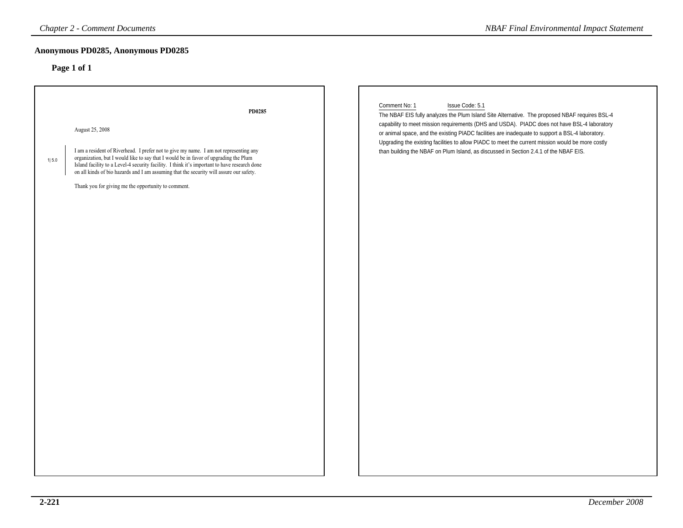### **Anonymous PD0285, Anonymous PD0285**

| <b>Chapter 2 - Comment Documents</b>                                                                                                                                                                                                                                                                                                                                                                                                                                  | <b>NBAF Final Environmental Impact Statement</b>                                                                                                                                                                                                                                                                                                                                                                                                                                                                                     |
|-----------------------------------------------------------------------------------------------------------------------------------------------------------------------------------------------------------------------------------------------------------------------------------------------------------------------------------------------------------------------------------------------------------------------------------------------------------------------|--------------------------------------------------------------------------------------------------------------------------------------------------------------------------------------------------------------------------------------------------------------------------------------------------------------------------------------------------------------------------------------------------------------------------------------------------------------------------------------------------------------------------------------|
| Anonymous PD0285, Anonymous PD0285<br>Page 1 of 1                                                                                                                                                                                                                                                                                                                                                                                                                     |                                                                                                                                                                                                                                                                                                                                                                                                                                                                                                                                      |
| PD0285<br>August 25, 2008<br>I am a resident of Riverhead. I prefer not to give my name. I am not representing any<br>organization, but I would like to say that I would be in favor of upgrading the Plum<br>1 5.0<br>Island facility to a Level-4 security facility. I think it's important to have research done<br>on all kinds of bio hazards and I am assuming that the security will assure our safety.<br>Thank you for giving me the opportunity to comment. | Comment No: 1<br>Issue Code: 5.1<br>The NBAF EIS fully analyzes the Plum Island Site Alternative. The proposed NBAF requires BSL-4<br>capability to meet mission requirements (DHS and USDA). PIADC does not have BSL-4 laboratory<br>or animal space, and the existing PIADC facilities are inadequate to support a BSL-4 laboratory.<br>Upgrading the existing facilities to allow PIADC to meet the current mission would be more costly<br>than building the NBAF on Plum Island, as discussed in Section 2.4.1 of the NBAF EIS. |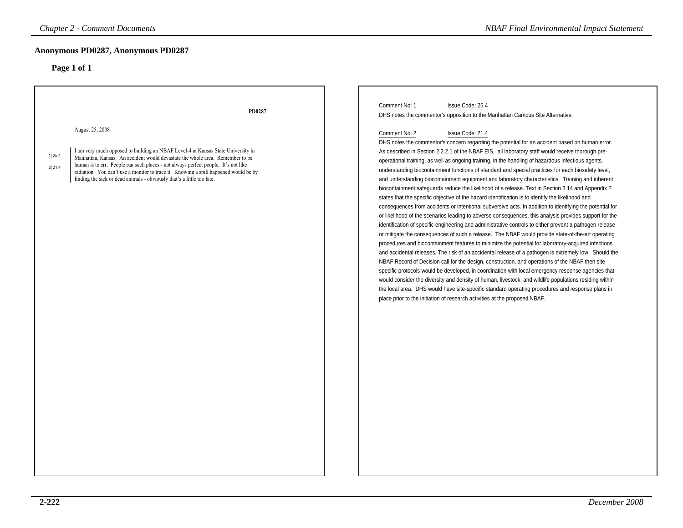| <b>Chapter 2 - Comment Documents</b>                                                                                                                                                                                                                                                                                                                                                                                                                                       | <b>NBAF Final Environmental Impact Statement</b>                                                                                                                                                                                                                                                                                                                                                                                                                                                                                                                                                                                                                                                                                                                                                                                                                                                                                                                                                                                                                                                                                                                                                                                                                                                                                                                                                                                                                                                                                                                                                                                                                                                                                                                                                                                                                                                                                                                                                                                                      |
|----------------------------------------------------------------------------------------------------------------------------------------------------------------------------------------------------------------------------------------------------------------------------------------------------------------------------------------------------------------------------------------------------------------------------------------------------------------------------|-------------------------------------------------------------------------------------------------------------------------------------------------------------------------------------------------------------------------------------------------------------------------------------------------------------------------------------------------------------------------------------------------------------------------------------------------------------------------------------------------------------------------------------------------------------------------------------------------------------------------------------------------------------------------------------------------------------------------------------------------------------------------------------------------------------------------------------------------------------------------------------------------------------------------------------------------------------------------------------------------------------------------------------------------------------------------------------------------------------------------------------------------------------------------------------------------------------------------------------------------------------------------------------------------------------------------------------------------------------------------------------------------------------------------------------------------------------------------------------------------------------------------------------------------------------------------------------------------------------------------------------------------------------------------------------------------------------------------------------------------------------------------------------------------------------------------------------------------------------------------------------------------------------------------------------------------------------------------------------------------------------------------------------------------------|
| Anonymous PD0287, Anonymous PD0287<br>Page 1 of 1                                                                                                                                                                                                                                                                                                                                                                                                                          |                                                                                                                                                                                                                                                                                                                                                                                                                                                                                                                                                                                                                                                                                                                                                                                                                                                                                                                                                                                                                                                                                                                                                                                                                                                                                                                                                                                                                                                                                                                                                                                                                                                                                                                                                                                                                                                                                                                                                                                                                                                       |
| PD0287<br>August 25, 2008<br>I am very much opposed to building an NBAF Level-4 at Kansas State University in<br>1 25.4<br>Manhattan, Kansas. An accident would devastate the whole area. Remember to be<br>human is to err. People run such places - not always perfect people. It's not like<br>2 21.4<br>radiation. You can't use a monitor to trace it. Knowing a spill happened would be by<br>finding the sick or dead animals - obviously that's a little too late. | Comment No: 1<br>Issue Code: 25.4<br>DHS notes the commentor's opposition to the Manhattan Campus Site Alternative.<br>Comment No: 2<br>Issue Code: 21.4<br>DHS notes the commentor's concern regarding the potential for an accident based on human error.<br>As described in Section 2.2.2.1 of the NBAF EIS, all laboratory staff would receive thorough pre-<br>operational training, as well as ongoing training, in the handling of hazardous infectious agents,<br>understanding biocontainment functions of standard and special practices for each biosafety level,<br>and understanding biocontainment equipment and laboratory characteristics. Training and inherent<br>biocontainment safeguards reduce the likelihood of a release. Text in Section 3.14 and Appendix E<br>states that the specific objective of the hazard identification is to identify the likelihood and<br>consequences from accidents or intentional subversive acts. In addition to identifying the potential for<br>or likelihood of the scenarios leading to adverse consequences, this analysis provides support for the<br>identification of specific engineering and administrative controls to either prevent a pathogen release<br>or mitigate the consequences of such a release. The NBAF would provide state-of-the-art operating<br>procedures and biocontainment features to minimize the potential for laboratory-acquired infections<br>and accidental releases. The risk of an accidental release of a pathogen is extremely low. Should the<br>NBAF Record of Decision call for the design, construction, and operations of the NBAF then site<br>specific protocols would be developed, in coordination with local emergency response agencies that<br>would consider the diversity and density of human, livestock, and wildlife populations residing within<br>the local area. DHS would have site-specific standard operating procedures and response plans in<br>place prior to the initiation of research activities at the proposed NBAF. |
|                                                                                                                                                                                                                                                                                                                                                                                                                                                                            |                                                                                                                                                                                                                                                                                                                                                                                                                                                                                                                                                                                                                                                                                                                                                                                                                                                                                                                                                                                                                                                                                                                                                                                                                                                                                                                                                                                                                                                                                                                                                                                                                                                                                                                                                                                                                                                                                                                                                                                                                                                       |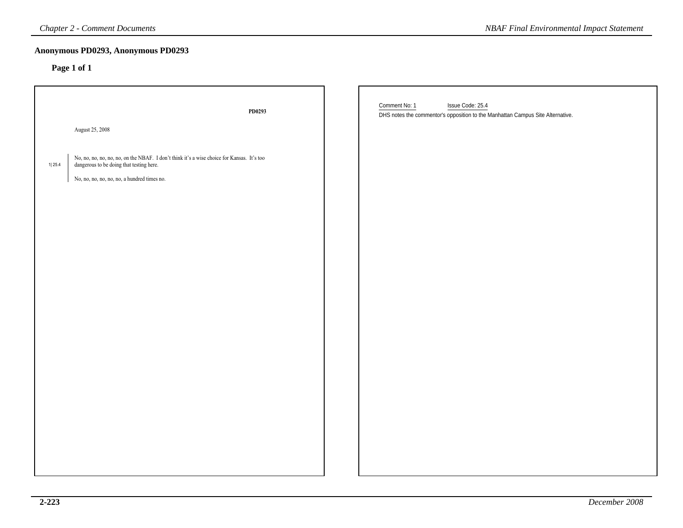| <b>Chapter 2 - Comment Documents</b>                                                              |                                                                                            | <b>NBAF Final Environmental Impact Statement</b>                                                                    |
|---------------------------------------------------------------------------------------------------|--------------------------------------------------------------------------------------------|---------------------------------------------------------------------------------------------------------------------|
| Anonymous PD0293, Anonymous PD0293<br>Page 1 of 1                                                 |                                                                                            |                                                                                                                     |
|                                                                                                   | PD0293                                                                                     | Comment No: 1<br>Issue Code: 25.4<br>DHS notes the commentor's opposition to the Manhattan Campus Site Alternative. |
| August 25, 2008                                                                                   |                                                                                            |                                                                                                                     |
| dangerous to be doing that testing here.<br>1 25.4<br>No, no, no, no, no, no, a hundred times no. | No, no, no, no, no, no, on the NBAF. I don't think it's a wise choice for Kansas. It's too |                                                                                                                     |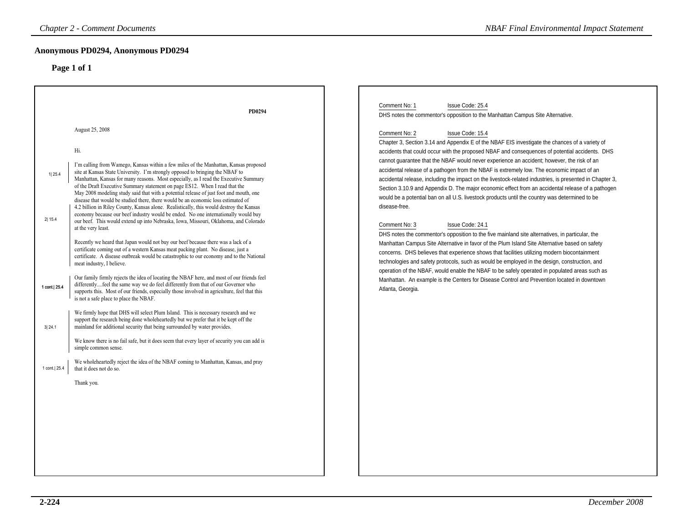|                                                                | <b>Chapter 2 - Comment Documents</b>                                                                                                                                                                                                                                                                                                                                                                                                                                                                                                                                                                                                                                                                                                                                                                                                                                                                                                                                                                                                                                                                                                                                                                                                                                                                                                                                                                                                                                                                                                                                                                                                                                                                                                                                                                                                                                                                                                                                                                             | <b>NBAF Final Environmental Impact Statement</b>                                                                                                                                                                                                                                                                                                                                                                                                                                                                                                                                                                                                                                                                                                                                                                                                                                                                                                                                                                                                                                                                                                                                                                                                                                                                                                                                                                                                                                                                                                             |
|----------------------------------------------------------------|------------------------------------------------------------------------------------------------------------------------------------------------------------------------------------------------------------------------------------------------------------------------------------------------------------------------------------------------------------------------------------------------------------------------------------------------------------------------------------------------------------------------------------------------------------------------------------------------------------------------------------------------------------------------------------------------------------------------------------------------------------------------------------------------------------------------------------------------------------------------------------------------------------------------------------------------------------------------------------------------------------------------------------------------------------------------------------------------------------------------------------------------------------------------------------------------------------------------------------------------------------------------------------------------------------------------------------------------------------------------------------------------------------------------------------------------------------------------------------------------------------------------------------------------------------------------------------------------------------------------------------------------------------------------------------------------------------------------------------------------------------------------------------------------------------------------------------------------------------------------------------------------------------------------------------------------------------------------------------------------------------------|--------------------------------------------------------------------------------------------------------------------------------------------------------------------------------------------------------------------------------------------------------------------------------------------------------------------------------------------------------------------------------------------------------------------------------------------------------------------------------------------------------------------------------------------------------------------------------------------------------------------------------------------------------------------------------------------------------------------------------------------------------------------------------------------------------------------------------------------------------------------------------------------------------------------------------------------------------------------------------------------------------------------------------------------------------------------------------------------------------------------------------------------------------------------------------------------------------------------------------------------------------------------------------------------------------------------------------------------------------------------------------------------------------------------------------------------------------------------------------------------------------------------------------------------------------------|
|                                                                | Anonymous PD0294, Anonymous PD0294<br>Page 1 of 1                                                                                                                                                                                                                                                                                                                                                                                                                                                                                                                                                                                                                                                                                                                                                                                                                                                                                                                                                                                                                                                                                                                                                                                                                                                                                                                                                                                                                                                                                                                                                                                                                                                                                                                                                                                                                                                                                                                                                                |                                                                                                                                                                                                                                                                                                                                                                                                                                                                                                                                                                                                                                                                                                                                                                                                                                                                                                                                                                                                                                                                                                                                                                                                                                                                                                                                                                                                                                                                                                                                                              |
| 1  25.4<br>2 15.4<br>1 cont.  25.4<br>3 24.1<br>1 cont.   25.4 | PD0294<br>August 25, 2008<br>Hi.<br>I'm calling from Wamego, Kansas within a few miles of the Manhattan, Kansas proposed<br>site at Kansas State University. I'm strongly opposed to bringing the NBAF to<br>Manhattan, Kansas for many reasons. Most especially, as I read the Executive Summary<br>of the Draft Executive Summary statement on page ES12. When I read that the<br>May 2008 modeling study said that with a potential release of just foot and mouth, one<br>disease that would be studied there, there would be an economic loss estimated of<br>4.2 billion in Riley County, Kansas alone. Realistically, this would destroy the Kansas<br>economy because our beef industry would be ended. No one internationally would buy<br>our beef. This would extend up into Nebraska, Iowa, Missouri, Oklahoma, and Colorado<br>at the very least.<br>Recently we heard that Japan would not buy our beef because there was a lack of a<br>certificate coming out of a western Kansas meat packing plant. No disease, just a<br>certificate. A disease outbreak would be catastrophic to our economy and to the National<br>meat industry, I believe.<br>Our family firmly rejects the idea of locating the NBAF here, and most of our friends feel<br>differentlyfeel the same way we do feel differently from that of our Governor who<br>supports this. Most of our friends, especially those involved in agriculture, feel that this<br>is not a safe place to place the NBAF.<br>We firmly hope that DHS will select Plum Island. This is necessary research and we<br>support the research being done wholeheartedly but we prefer that it be kept off the<br>mainland for additional security that being surrounded by water provides.<br>We know there is no fail safe, but it does seem that every layer of security you can add is<br>simple common sense.<br>We wholeheartedly reject the idea of the NBAF coming to Manhattan, Kansas, and pray<br>that it does not do so.<br>Thank you. | Comment No: 1<br>Issue Code: 25.4<br>DHS notes the commentor's opposition to the Manhattan Campus Site Alternative.<br>Issue Code: 15.4<br>Comment No: 2<br>Chapter 3, Section 3.14 and Appendix E of the NBAF EIS investigate the chances of a variety of<br>accidents that could occur with the proposed NBAF and consequences of potential accidents. DHS<br>cannot guarantee that the NBAF would never experience an accident; however, the risk of an<br>accidental release of a pathogen from the NBAF is extremely low. The economic impact of an<br>accidental release, including the impact on the livestock-related industries, is presented in Chapter 3,<br>Section 3.10.9 and Appendix D. The major economic effect from an accidental release of a pathogen<br>would be a potential ban on all U.S. livestock products until the country was determined to be<br>disease-free.<br>Issue Code: 24.1<br>Comment No: 3<br>DHS notes the commentor's opposition to the five mainland site alternatives, in particular, the<br>Manhattan Campus Site Alternative in favor of the Plum Island Site Alternative based on safety<br>concerns. DHS believes that experience shows that facilities utilizing modern biocontainment<br>technologies and safety protocols, such as would be employed in the design, construction, and<br>operation of the NBAF, would enable the NBAF to be safely operated in populated areas such as<br>Manhattan. An example is the Centers for Disease Control and Prevention located in downtown<br>Atlanta, Georgia. |
|                                                                |                                                                                                                                                                                                                                                                                                                                                                                                                                                                                                                                                                                                                                                                                                                                                                                                                                                                                                                                                                                                                                                                                                                                                                                                                                                                                                                                                                                                                                                                                                                                                                                                                                                                                                                                                                                                                                                                                                                                                                                                                  |                                                                                                                                                                                                                                                                                                                                                                                                                                                                                                                                                                                                                                                                                                                                                                                                                                                                                                                                                                                                                                                                                                                                                                                                                                                                                                                                                                                                                                                                                                                                                              |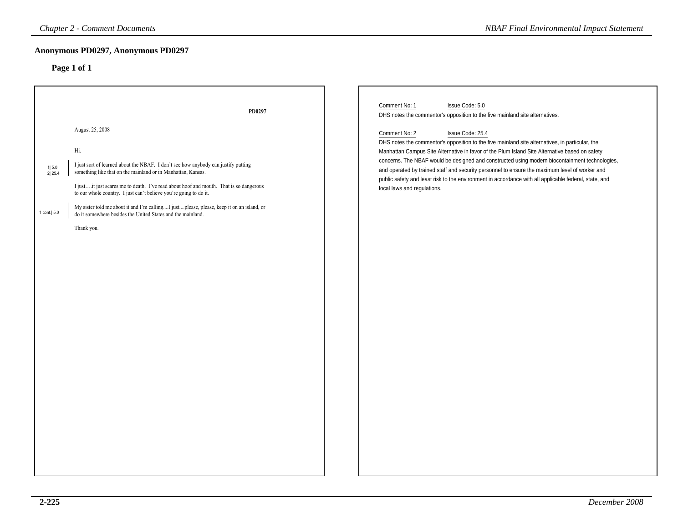# **Anonymous PD0297, Anonymous PD0297**

|                                  | <b>Chapter 2 - Comment Documents</b>                                                                                                                                                                                                                                                                                                                                                                                                                                                                                 | <b>NBAF Final Environmental Impact Statement</b>                                                                                                                                                                                                                                                                                                                                                                                                                                                                                                                                   |
|----------------------------------|----------------------------------------------------------------------------------------------------------------------------------------------------------------------------------------------------------------------------------------------------------------------------------------------------------------------------------------------------------------------------------------------------------------------------------------------------------------------------------------------------------------------|------------------------------------------------------------------------------------------------------------------------------------------------------------------------------------------------------------------------------------------------------------------------------------------------------------------------------------------------------------------------------------------------------------------------------------------------------------------------------------------------------------------------------------------------------------------------------------|
|                                  | Anonymous PD0297, Anonymous PD0297<br>Page 1 of 1                                                                                                                                                                                                                                                                                                                                                                                                                                                                    |                                                                                                                                                                                                                                                                                                                                                                                                                                                                                                                                                                                    |
|                                  | PD0297                                                                                                                                                                                                                                                                                                                                                                                                                                                                                                               | Comment No: 1<br>Issue Code: 5.0<br>DHS notes the commentor's opposition to the five mainland site alternatives.                                                                                                                                                                                                                                                                                                                                                                                                                                                                   |
| 1 5.0<br>2 25.4<br>1 cont.   5.0 | August 25, 2008<br>Hi.<br>I just sort of learned about the NBAF. I don't see how anybody can justify putting<br>something like that on the mainland or in Manhattan, Kansas.<br>I justit just scares me to death. I've read about hoof and mouth. That is so dangerous<br>to our whole country. I just can't believe you're going to do it.<br>My sister told me about it and I'm callingI justplease, please, keep it on an island, or<br>do it somewhere besides the United States and the mainland.<br>Thank you. | Comment No: 2<br>Issue Code: 25.4<br>DHS notes the commentor's opposition to the five mainland site alternatives, in particular, the<br>Manhattan Campus Site Alternative in favor of the Plum Island Site Alternative based on safety<br>concerns. The NBAF would be designed and constructed using modern biocontainment technologies,<br>and operated by trained staff and security personnel to ensure the maximum level of worker and<br>public safety and least risk to the environment in accordance with all applicable federal, state, and<br>local laws and regulations. |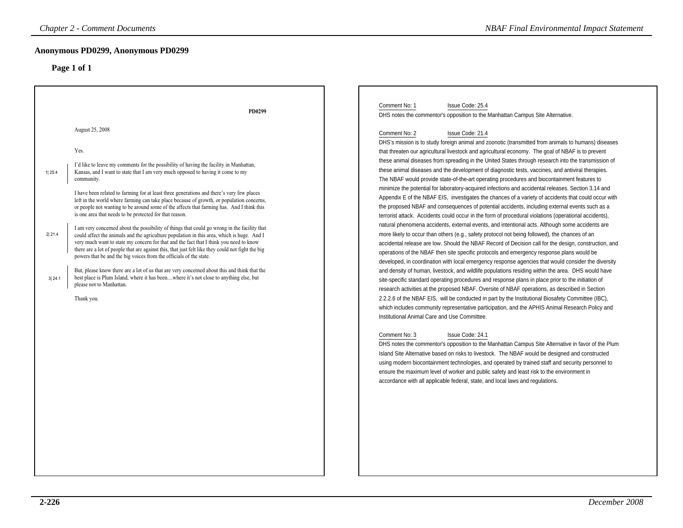| <b>Chapter 2 - Comment Documents</b>                                                                                                                                                                                                                                                                                                                                                                                                                                                                                                                                                                                                                                                                                                                                                                                                                                                                                                                                                                                                                                                                                                                                                                                                                                                                                | <b>NBAF Final Environmental Impact Statement</b>                                                                                                                                                                                                                                                                                                                                                                                                                                                                                                                                                                                                                                                                                                                                                                                                                                                                                                                                                                                                                                                                                                                                                                                                                                                                                                                                                                                                                                                                                                                                                                                                                                                                                                                                                                                                                                                                                                                                                                                                                                                                                                                                                                                        |
|---------------------------------------------------------------------------------------------------------------------------------------------------------------------------------------------------------------------------------------------------------------------------------------------------------------------------------------------------------------------------------------------------------------------------------------------------------------------------------------------------------------------------------------------------------------------------------------------------------------------------------------------------------------------------------------------------------------------------------------------------------------------------------------------------------------------------------------------------------------------------------------------------------------------------------------------------------------------------------------------------------------------------------------------------------------------------------------------------------------------------------------------------------------------------------------------------------------------------------------------------------------------------------------------------------------------|-----------------------------------------------------------------------------------------------------------------------------------------------------------------------------------------------------------------------------------------------------------------------------------------------------------------------------------------------------------------------------------------------------------------------------------------------------------------------------------------------------------------------------------------------------------------------------------------------------------------------------------------------------------------------------------------------------------------------------------------------------------------------------------------------------------------------------------------------------------------------------------------------------------------------------------------------------------------------------------------------------------------------------------------------------------------------------------------------------------------------------------------------------------------------------------------------------------------------------------------------------------------------------------------------------------------------------------------------------------------------------------------------------------------------------------------------------------------------------------------------------------------------------------------------------------------------------------------------------------------------------------------------------------------------------------------------------------------------------------------------------------------------------------------------------------------------------------------------------------------------------------------------------------------------------------------------------------------------------------------------------------------------------------------------------------------------------------------------------------------------------------------------------------------------------------------------------------------------------------------|
| Anonymous PD0299, Anonymous PD0299<br>Page 1 of 1                                                                                                                                                                                                                                                                                                                                                                                                                                                                                                                                                                                                                                                                                                                                                                                                                                                                                                                                                                                                                                                                                                                                                                                                                                                                   |                                                                                                                                                                                                                                                                                                                                                                                                                                                                                                                                                                                                                                                                                                                                                                                                                                                                                                                                                                                                                                                                                                                                                                                                                                                                                                                                                                                                                                                                                                                                                                                                                                                                                                                                                                                                                                                                                                                                                                                                                                                                                                                                                                                                                                         |
| PD0299<br>August 25, 2008<br>Yes.<br>I'd like to leave my comments for the possibility of having the facility in Manhattan,<br>Kansas, and I want to state that I am very much opposed to having it come to my<br>1 25.4<br>community.<br>I have been related to farming for at least three generations and there's very few places<br>left in the world where farming can take place because of growth, or population concerns,<br>or people not wanting to be around some of the affects that farming has. And I think this<br>is one area that needs to be protected for that reason.<br>I am very concerned about the possibility of things that could go wrong in the facility that<br>2 21.4<br>could affect the animals and the agriculture population in this area, which is huge. And I<br>very much want to state my concern for that and the fact that I think you need to know<br>there are a lot of people that are against this, that just felt like they could not fight the big<br>powers that be and the big voices from the officials of the state.<br>But, please know there are a lot of us that are very concerned about this and think that the<br>best place is Plum Island, where it has beenwhere it's not close to anything else, but<br>3 24.1<br>please not to Manhattan.<br>Thank you. | Comment No: 1<br>Issue Code: 25.4<br>DHS notes the commentor's opposition to the Manhattan Campus Site Alternative.<br>Comment No: 2<br>Issue Code: 21.4<br>DHS's mission is to study foreign animal and zoonotic (transmitted from animals to humans) diseases<br>that threaten our agricultural livestock and agricultural economy. The goal of NBAF is to prevent<br>these animal diseases from spreading in the United States through research into the transmission of<br>these animal diseases and the development of diagnostic tests, vaccines, and antiviral therapies.<br>The NBAF would provide state-of-the-art operating procedures and biocontainment features to<br>minimize the potential for laboratory-acquired infections and accidental releases. Section 3.14 and<br>Appendix E of the NBAF EIS, investigates the chances of a variety of accidents that could occur with<br>the proposed NBAF and consequences of potential accidents, including external events such as a<br>terrorist attack. Accidents could occur in the form of procedural violations (operational accidents),<br>natural phenomena accidents, external events, and intentional acts. Although some accidents are<br>more likely to occur than others (e.g., safety protocol not being followed), the chances of an<br>accidental release are low. Should the NBAF Record of Decision call for the design, construction, and<br>operations of the NBAF then site specific protocols and emergency response plans would be<br>developed, in coordination with local emergency response agencies that would consider the diversity<br>and density of human, livestock, and wildlife populations residing within the area. DHS would have<br>site-specific standard operating procedures and response plans in place prior to the initiation of<br>research activities at the proposed NBAF. Oversite of NBAF operations, as described in Section<br>2.2.2.6 of the NBAF EIS, will be conducted in part by the Institutional Biosafety Committee (IBC),<br>which includes community representative participation, and the APHIS Animal Research Policy and<br>Institutional Animal Care and Use Committee.<br>Comment No: 3<br>Issue Code: 24.1 |
|                                                                                                                                                                                                                                                                                                                                                                                                                                                                                                                                                                                                                                                                                                                                                                                                                                                                                                                                                                                                                                                                                                                                                                                                                                                                                                                     | DHS notes the commentor's opposition to the Manhattan Campus Site Alternative in favor of the Plum<br>Island Site Alternative based on risks to livestock. The NBAF would be designed and constructed<br>using modern biocontainment technologies, and operated by trained staff and security personnel to<br>ensure the maximum level of worker and public safety and least risk to the environment in<br>accordance with all applicable federal, state, and local laws and regulations.                                                                                                                                                                                                                                                                                                                                                                                                                                                                                                                                                                                                                                                                                                                                                                                                                                                                                                                                                                                                                                                                                                                                                                                                                                                                                                                                                                                                                                                                                                                                                                                                                                                                                                                                               |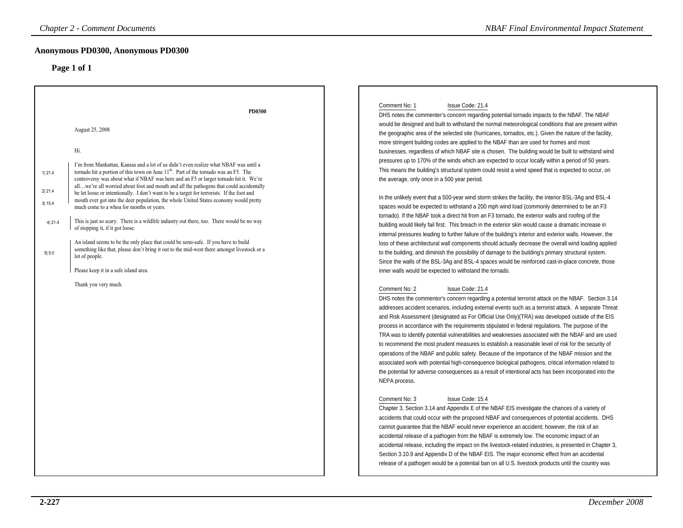### **Anonymous PD0300, Anonymous PD0300**

|                                                | <b>Chapter 2 - Comment Documents</b>                                                                                                                                                                                                                                                                                                                                                                                                                                                                                                                                                                                                                                                                                                                                                                                                                                                                                                                                                                                                                                     | <b>NBAF Final Environmental Impact Statement</b>                                                                                                                                                                                                                                                                                                                                                                                                                                                                                                                                                                                                                                                                                                                                                                                                                                                                                                                                                                                                                                                                                                                                                                                                                                                                                                                                                                                                                                                                                                                                                                                                                                                                                                                                                                                                                                                                                                                                                                                                                                                                                                                                                   |
|------------------------------------------------|--------------------------------------------------------------------------------------------------------------------------------------------------------------------------------------------------------------------------------------------------------------------------------------------------------------------------------------------------------------------------------------------------------------------------------------------------------------------------------------------------------------------------------------------------------------------------------------------------------------------------------------------------------------------------------------------------------------------------------------------------------------------------------------------------------------------------------------------------------------------------------------------------------------------------------------------------------------------------------------------------------------------------------------------------------------------------|----------------------------------------------------------------------------------------------------------------------------------------------------------------------------------------------------------------------------------------------------------------------------------------------------------------------------------------------------------------------------------------------------------------------------------------------------------------------------------------------------------------------------------------------------------------------------------------------------------------------------------------------------------------------------------------------------------------------------------------------------------------------------------------------------------------------------------------------------------------------------------------------------------------------------------------------------------------------------------------------------------------------------------------------------------------------------------------------------------------------------------------------------------------------------------------------------------------------------------------------------------------------------------------------------------------------------------------------------------------------------------------------------------------------------------------------------------------------------------------------------------------------------------------------------------------------------------------------------------------------------------------------------------------------------------------------------------------------------------------------------------------------------------------------------------------------------------------------------------------------------------------------------------------------------------------------------------------------------------------------------------------------------------------------------------------------------------------------------------------------------------------------------------------------------------------------------|
|                                                | Anonymous PD0300, Anonymous PD0300                                                                                                                                                                                                                                                                                                                                                                                                                                                                                                                                                                                                                                                                                                                                                                                                                                                                                                                                                                                                                                       |                                                                                                                                                                                                                                                                                                                                                                                                                                                                                                                                                                                                                                                                                                                                                                                                                                                                                                                                                                                                                                                                                                                                                                                                                                                                                                                                                                                                                                                                                                                                                                                                                                                                                                                                                                                                                                                                                                                                                                                                                                                                                                                                                                                                    |
| 1 21.4<br>2 21.4<br>3  15.4<br>4 21.4<br>5 5.0 | Page 1 of 1<br><b>PD0300</b><br>August 25, 2008<br>Hi.<br>I'm from Manhattan, Kansas and a lot of us didn't even realize what NBAF was until a<br>tornado hit a portion of this town on June $11th$ . Part of the tornado was an F5. The<br>controversy was about what if NBAF was here and an F5 or larger tornado hit it. We're<br>allwe're all worried about foot and mouth and all the pathogens that could accidentally<br>be let loose or intentionally. I don't want to be a target for terrorists. If the foot and<br>mouth ever got into the deer population, the whole United States economy would pretty<br>much come to a whoa for months or years.<br>This is just so scary. There is a wildlife industry out there, too. There would be no way<br>of stopping it, if it got loose.<br>An island seems to be the only place that could be semi-safe. If you have to build<br>something like that, please don't bring it out to the mid-west there amongst livestock or a<br>lot of people.<br>Please keep it in a safe island area.<br>Thank you very much. | Comment No: 1<br>Issue Code: 21.4<br>DHS notes the commenter's concern regarding potential tornado impacts to the NBAF. The NBAF<br>would be designed and built to withstand the normal meteorological conditions that are present within<br>the geographic area of the selected site (hurricanes, tornados, etc.). Given the nature of the facility,<br>more stringent building codes are applied to the NBAF than are used for homes and most<br>businesses, regardless of which NBAF site is chosen. The building would be built to withstand wind<br>pressures up to 170% of the winds which are expected to occur locally within a period of 50 years.<br>This means the building's structural system could resist a wind speed that is expected to occur, on<br>the average, only once in a 500 year period.<br>In the unlikely event that a 500-year wind storm strikes the facility, the interior BSL-3Ag and BSL-4<br>spaces would be expected to withstand a 200 mph wind load (commonly determined to be an F3<br>tornado). If the NBAF took a direct hit from an F3 tornado, the exterior walls and roofing of the<br>building would likely fail first. This breach in the exterior skin would cause a dramatic increase in<br>internal pressures leading to further failure of the building's interior and exterior walls. However, the<br>loss of these architectural wall components should actually decrease the overall wind loading applied<br>to the building, and diminish the possibility of damage to the building's primary structural system.<br>Since the walls of the BSL-3Ag and BSL-4 spaces would be reinforced cast-in-place concrete, those<br>inner walls would be expected to withstand the tornado.<br>Comment No: 2<br>Issue Code: 21.4<br>DHS notes the commentor's concern regarding a potential terrorist attack on the NBAF. Section 3.14<br>addresses accident scenarios, including external events such as a terrorist attack. A separate Threat<br>and Risk Assessment (designated as For Official Use Only) (TRA) was developed outside of the EIS<br>process in accordance with the requirements stipulated in federal regulations. The purpose of the |
|                                                |                                                                                                                                                                                                                                                                                                                                                                                                                                                                                                                                                                                                                                                                                                                                                                                                                                                                                                                                                                                                                                                                          | TRA was to identify potential vulnerabilities and weaknesses associated with the NBAF and are used<br>to recommend the most prudent measures to establish a reasonable level of risk for the security of<br>operations of the NBAF and public safety. Because of the importance of the NBAF mission and the<br>associated work with potential high-consequence biological pathogens, critical information related to<br>the potential for adverse consequences as a result of intentional acts has been incorporated into the<br>NEPA process.<br>Comment No: 3<br>Issue Code: 15.4<br>Chapter 3, Section 3.14 and Appendix E of the NBAF EIS investigate the chances of a variety of<br>accidents that could occur with the proposed NBAF and consequences of potential accidents. DHS<br>cannot guarantee that the NBAF would never experience an accident; however, the risk of an                                                                                                                                                                                                                                                                                                                                                                                                                                                                                                                                                                                                                                                                                                                                                                                                                                                                                                                                                                                                                                                                                                                                                                                                                                                                                                              |
|                                                |                                                                                                                                                                                                                                                                                                                                                                                                                                                                                                                                                                                                                                                                                                                                                                                                                                                                                                                                                                                                                                                                          | accidental release of a pathogen from the NBAF is extremely low. The economic impact of an<br>accidental release, including the impact on the livestock-related industries, is presented in Chapter 3,<br>Section 3.10.9 and Appendix D of the NBAF EIS. The major economic effect from an accidental<br>release of a pathogen would be a potential ban on all U.S. livestock products until the country was                                                                                                                                                                                                                                                                                                                                                                                                                                                                                                                                                                                                                                                                                                                                                                                                                                                                                                                                                                                                                                                                                                                                                                                                                                                                                                                                                                                                                                                                                                                                                                                                                                                                                                                                                                                       |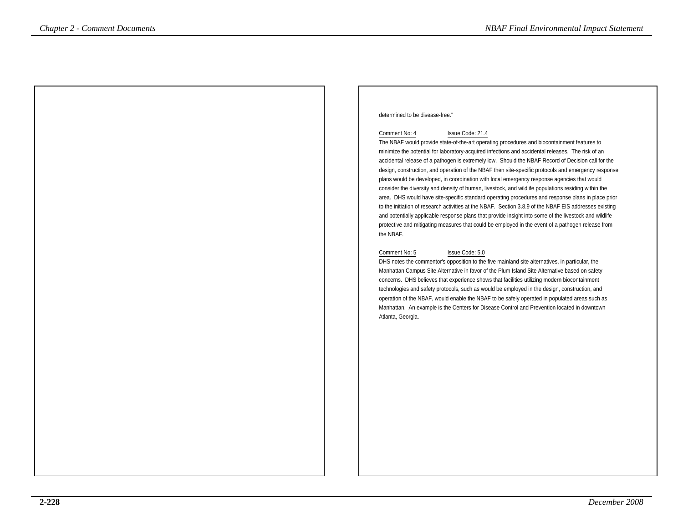#### determined to be disease-free."

#### Comment No: 4 Issue Code: 21.4

 The NBAF would provide state-of-the-art operating procedures and biocontainment features to minimize the potential for laboratory-acquired infections and accidental releases. The risk of an accidental release of a pathogen is extremely low. Should the NBAF Record of Decision call for the design, construction, and operation of the NBAF then site-specific protocols and emergency responseplans would be developed, in coordination with local emergency response agencies that would consider the diversity and density of human, livestock, and wildlife populations residing within the area. DHS would have site-specific standard operating procedures and response plans in place prior to the initiation of research activities at the NBAF. Section 3.8.9 of the NBAF EIS addresses existing and potentially applicable response plans that provide insight into some of the livestock and wildlife protective and mitigating measures that could be employed in the event of a pathogen release fromthe NBAF.*Comment Documents*<br> **Comment be the statement of the statement of the statement of the statement of the statement of the statement<br>
The RBAF work to detect a statement be statemental in the statement of the statement of t** 

#### Comment No: 5 Issue Code: 5.0

 DHS notes the commentor's opposition to the five mainland site alternatives, in particular, the Manhattan Campus Site Alternative in favor of the Plum Island Site Alternative based on safety concerns. DHS believes that experience shows that facilities utilizing modern biocontainment technologies and safety protocols, such as would be employed in the design, construction, and operation of the NBAF, would enable the NBAF to be safely operated in populated areas such as Manhattan. An example is the Centers for Disease Control and Prevention located in downtownAtlanta, Georgia.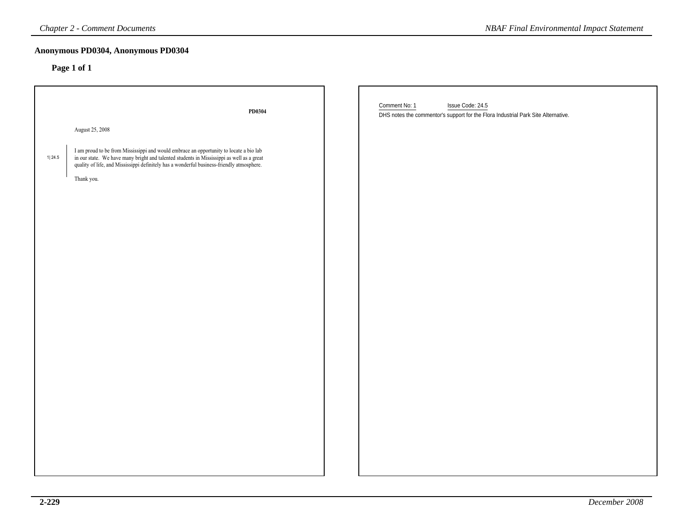|        | <b>Chapter 2 - Comment Documents</b>                                                                                                                                                                                                               | <b>NBAF Final Environmental Impact Statement</b>                                                                       |
|--------|----------------------------------------------------------------------------------------------------------------------------------------------------------------------------------------------------------------------------------------------------|------------------------------------------------------------------------------------------------------------------------|
|        | Anonymous PD0304, Anonymous PD0304<br>Page 1 of 1                                                                                                                                                                                                  |                                                                                                                        |
|        | PD0304                                                                                                                                                                                                                                             | Comment No: 1<br>Issue Code: 24.5<br>DHS notes the commentor's support for the Flora Industrial Park Site Alternative. |
|        | August 25, 2008                                                                                                                                                                                                                                    |                                                                                                                        |
| 1 24.5 | I am proud to be from Mississippi and would embrace an opportunity to locate a bio lab<br>in our state. We have many bright and talented students in Mississippi as well as a great<br>quality of life, and Mississippi definitely h<br>Thank you. |                                                                                                                        |
|        |                                                                                                                                                                                                                                                    |                                                                                                                        |
|        |                                                                                                                                                                                                                                                    |                                                                                                                        |
|        |                                                                                                                                                                                                                                                    |                                                                                                                        |
|        |                                                                                                                                                                                                                                                    |                                                                                                                        |
|        |                                                                                                                                                                                                                                                    |                                                                                                                        |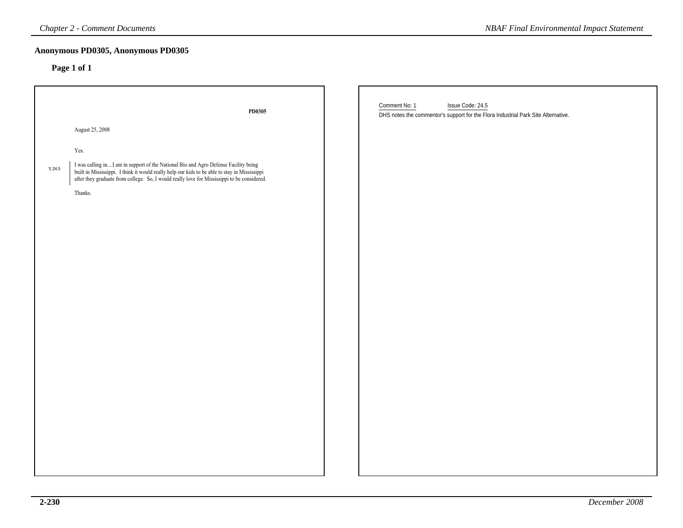|        | <b>Chapter 2 - Comment Documents</b>                                                                                                                                                                                            | <b>NBAF Final Environmental Impact Statement</b>                                                                       |
|--------|---------------------------------------------------------------------------------------------------------------------------------------------------------------------------------------------------------------------------------|------------------------------------------------------------------------------------------------------------------------|
|        | Anonymous PD0305, Anonymous PD0305<br>Page 1 of 1                                                                                                                                                                               |                                                                                                                        |
|        | PD0305                                                                                                                                                                                                                          | Comment No: 1<br>Issue Code: 24.5<br>DHS notes the commentor's support for the Flora Industrial Park Site Alternative. |
|        | August 25, 2008                                                                                                                                                                                                                 |                                                                                                                        |
|        | Yes.                                                                                                                                                                                                                            |                                                                                                                        |
| 1 24.5 | I was calling inI am in support of the National Bio and Agro Defense Facility being<br>built in Mississippi. I think it would really help our kids to be able to stay in Mississippi<br>after they graduate from college. So, I |                                                                                                                        |
|        | Thanks.                                                                                                                                                                                                                         |                                                                                                                        |
|        |                                                                                                                                                                                                                                 |                                                                                                                        |
|        |                                                                                                                                                                                                                                 |                                                                                                                        |
|        |                                                                                                                                                                                                                                 |                                                                                                                        |
|        |                                                                                                                                                                                                                                 |                                                                                                                        |
|        |                                                                                                                                                                                                                                 |                                                                                                                        |
|        |                                                                                                                                                                                                                                 |                                                                                                                        |
|        |                                                                                                                                                                                                                                 |                                                                                                                        |
|        |                                                                                                                                                                                                                                 |                                                                                                                        |
|        |                                                                                                                                                                                                                                 |                                                                                                                        |
|        |                                                                                                                                                                                                                                 |                                                                                                                        |
|        |                                                                                                                                                                                                                                 |                                                                                                                        |
|        |                                                                                                                                                                                                                                 |                                                                                                                        |
|        |                                                                                                                                                                                                                                 |                                                                                                                        |
|        |                                                                                                                                                                                                                                 |                                                                                                                        |
|        |                                                                                                                                                                                                                                 |                                                                                                                        |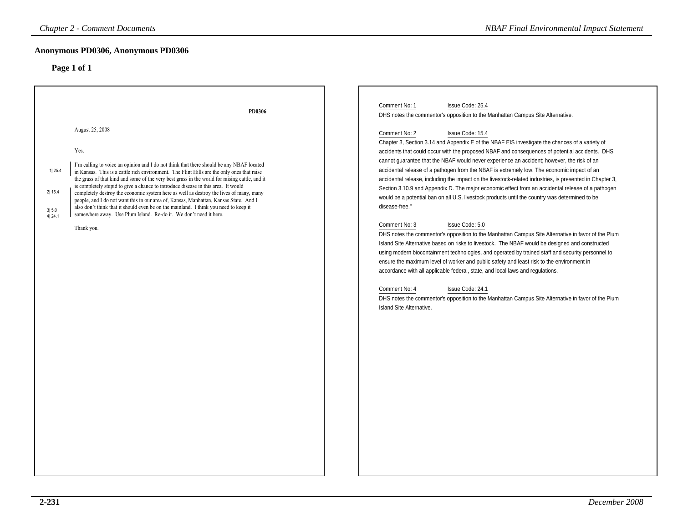### **Anonymous PD0306, Anonymous PD0306**

| <b>Chapter 2 - Comment Documents</b>                                                                                                                                                                                                                                                                                                                                                                                                                                                                                                                                                                                                                                                                                                                                                                                    | <b>NBAF Final Environmental Impact Statement</b>                                                                                                                                                                                                                                                                                                                                                                                                                                                                                                                                                                                                                                                                                                                                                                                                                                                                                                                                                                                                                                                                                           |
|-------------------------------------------------------------------------------------------------------------------------------------------------------------------------------------------------------------------------------------------------------------------------------------------------------------------------------------------------------------------------------------------------------------------------------------------------------------------------------------------------------------------------------------------------------------------------------------------------------------------------------------------------------------------------------------------------------------------------------------------------------------------------------------------------------------------------|--------------------------------------------------------------------------------------------------------------------------------------------------------------------------------------------------------------------------------------------------------------------------------------------------------------------------------------------------------------------------------------------------------------------------------------------------------------------------------------------------------------------------------------------------------------------------------------------------------------------------------------------------------------------------------------------------------------------------------------------------------------------------------------------------------------------------------------------------------------------------------------------------------------------------------------------------------------------------------------------------------------------------------------------------------------------------------------------------------------------------------------------|
| Anonymous PD0306, Anonymous PD0306<br>Page 1 of 1                                                                                                                                                                                                                                                                                                                                                                                                                                                                                                                                                                                                                                                                                                                                                                       |                                                                                                                                                                                                                                                                                                                                                                                                                                                                                                                                                                                                                                                                                                                                                                                                                                                                                                                                                                                                                                                                                                                                            |
| PD0306<br>August 25, 2008<br>Yes.<br>I'm calling to voice an opinion and I do not think that there should be any NBAF located<br>1 25.4<br>in Kansas. This is a cattle rich environment. The Flint Hills are the only ones that raise<br>the grass of that kind and some of the very best grass in the world for raising cattle, and it<br>is completely stupid to give a chance to introduce disease in this area. It would<br>2 15.4<br>completely destroy the economic system here as well as destroy the lives of many, many<br>people, and I do not want this in our area of, Kansas, Manhattan, Kansas State. And I<br>also don't think that it should even be on the mainland. I think you need to keep it<br>3 5.0<br>somewhere away. Use Plum Island. Re-do it. We don't need it here.<br>4 24.1<br>Thank you. | Comment No: 1<br>Issue Code: 25.4<br>DHS notes the commentor's opposition to the Manhattan Campus Site Alternative.<br>Comment No: 2<br>Issue Code: 15.4<br>Chapter 3, Section 3.14 and Appendix E of the NBAF EIS investigate the chances of a variety of<br>accidents that could occur with the proposed NBAF and consequences of potential accidents. DHS<br>cannot guarantee that the NBAF would never experience an accident; however, the risk of an<br>accidental release of a pathogen from the NBAF is extremely low. The economic impact of an<br>accidental release, including the impact on the livestock-related industries, is presented in Chapter 3,<br>Section 3.10.9 and Appendix D. The major economic effect from an accidental release of a pathogen<br>would be a potential ban on all U.S. livestock products until the country was determined to be<br>disease-free."<br>Comment No: 3<br>Issue Code: 5.0<br>DHS notes the commentor's opposition to the Manhattan Campus Site Alternative in favor of the Plum<br>Island Site Alternative based on risks to livestock. The NBAF would be designed and constructed |
|                                                                                                                                                                                                                                                                                                                                                                                                                                                                                                                                                                                                                                                                                                                                                                                                                         | using modern biocontainment technologies, and operated by trained staff and security personnel to<br>ensure the maximum level of worker and public safety and least risk to the environment in<br>accordance with all applicable federal, state, and local laws and regulations.<br>Comment No: 4<br>Issue Code: 24.1<br>DHS notes the commentor's opposition to the Manhattan Campus Site Alternative in favor of the Plum<br>Island Site Alternative.                                                                                                                                                                                                                                                                                                                                                                                                                                                                                                                                                                                                                                                                                    |
|                                                                                                                                                                                                                                                                                                                                                                                                                                                                                                                                                                                                                                                                                                                                                                                                                         |                                                                                                                                                                                                                                                                                                                                                                                                                                                                                                                                                                                                                                                                                                                                                                                                                                                                                                                                                                                                                                                                                                                                            |
|                                                                                                                                                                                                                                                                                                                                                                                                                                                                                                                                                                                                                                                                                                                                                                                                                         |                                                                                                                                                                                                                                                                                                                                                                                                                                                                                                                                                                                                                                                                                                                                                                                                                                                                                                                                                                                                                                                                                                                                            |
|                                                                                                                                                                                                                                                                                                                                                                                                                                                                                                                                                                                                                                                                                                                                                                                                                         |                                                                                                                                                                                                                                                                                                                                                                                                                                                                                                                                                                                                                                                                                                                                                                                                                                                                                                                                                                                                                                                                                                                                            |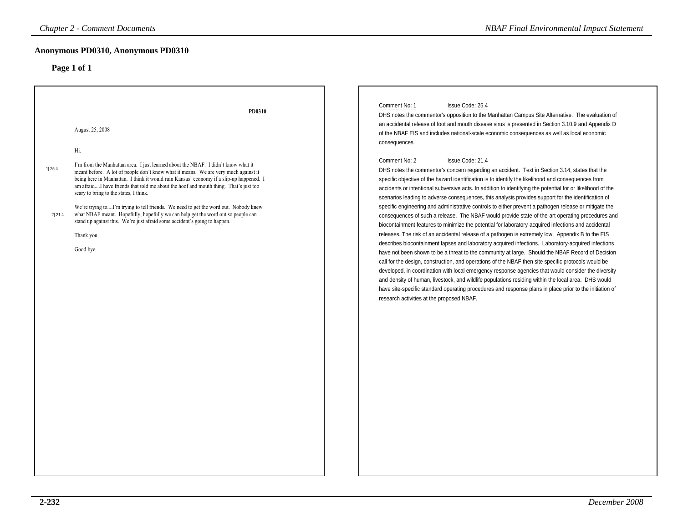|                  | <b>Chapter 2 - Comment Documents</b>                                                                                                                                                                                                                                                                                                                                                                                                                                                                                                                                                                                                                                                                                         | <b>NBAF Final Environmental Impact Statement</b>                                                                                                                                                                                                                                                                                                                                                                                                                                                                                                                                                                                                                                                                                                                                                                                                                                                                                                                                                                                                                                                                                                                                                                                                                                                                                                                                                                                                                                                                                                                                                                                                                                                                                                                                                                                                                                                                                                 |
|------------------|------------------------------------------------------------------------------------------------------------------------------------------------------------------------------------------------------------------------------------------------------------------------------------------------------------------------------------------------------------------------------------------------------------------------------------------------------------------------------------------------------------------------------------------------------------------------------------------------------------------------------------------------------------------------------------------------------------------------------|--------------------------------------------------------------------------------------------------------------------------------------------------------------------------------------------------------------------------------------------------------------------------------------------------------------------------------------------------------------------------------------------------------------------------------------------------------------------------------------------------------------------------------------------------------------------------------------------------------------------------------------------------------------------------------------------------------------------------------------------------------------------------------------------------------------------------------------------------------------------------------------------------------------------------------------------------------------------------------------------------------------------------------------------------------------------------------------------------------------------------------------------------------------------------------------------------------------------------------------------------------------------------------------------------------------------------------------------------------------------------------------------------------------------------------------------------------------------------------------------------------------------------------------------------------------------------------------------------------------------------------------------------------------------------------------------------------------------------------------------------------------------------------------------------------------------------------------------------------------------------------------------------------------------------------------------------|
|                  | Anonymous PD0310, Anonymous PD0310<br>Page 1 of 1                                                                                                                                                                                                                                                                                                                                                                                                                                                                                                                                                                                                                                                                            |                                                                                                                                                                                                                                                                                                                                                                                                                                                                                                                                                                                                                                                                                                                                                                                                                                                                                                                                                                                                                                                                                                                                                                                                                                                                                                                                                                                                                                                                                                                                                                                                                                                                                                                                                                                                                                                                                                                                                  |
| 1 25.4<br>2 21.4 | PD0310<br>August 25, 2008<br>Hi.<br>I'm from the Manhattan area. I just learned about the NBAF. I didn't know what it<br>meant before. A lot of people don't know what it means. We are very much against it<br>being here in Manhattan. I think it would ruin Kansas' economy if a slip-up happened. I<br>am afraidI have friends that told me about the hoof and mouth thing. That's just too<br>scary to bring to the states, I think.<br>We're trying toI'm trying to tell friends. We need to get the word out. Nobody knew<br>what NBAF meant. Hopefully, hopefully we can help get the word out so people can<br>stand up against this. We're just afraid some accident's going to happen.<br>Thank you.<br>Good bye. | Comment No: 1<br>Issue Code: 25.4<br>DHS notes the commentor's opposition to the Manhattan Campus Site Alternative. The evaluation of<br>an accidental release of foot and mouth disease virus is presented in Section 3.10.9 and Appendix D<br>of the NBAF EIS and includes national-scale economic consequences as well as local economic<br>consequences.<br>Comment No: 2<br>Issue Code: 21.4<br>DHS notes the commentor's concern regarding an accident. Text in Section 3.14, states that the<br>specific objective of the hazard identification is to identify the likelihood and consequences from<br>accidents or intentional subversive acts. In addition to identifying the potential for or likelihood of the<br>scenarios leading to adverse consequences, this analysis provides support for the identification of<br>specific engineering and administrative controls to either prevent a pathogen release or mitigate the<br>consequences of such a release. The NBAF would provide state-of-the-art operating procedures and<br>biocontainment features to minimize the potential for laboratory-acquired infections and accidental<br>releases. The risk of an accidental release of a pathogen is extremely low. Appendix B to the EIS<br>describes biocontainment lapses and laboratory acquired infections. Laboratory-acquired infections<br>have not been shown to be a threat to the community at large. Should the NBAF Record of Decision<br>call for the design, construction, and operations of the NBAF then site specific protocols would be<br>developed, in coordination with local emergency response agencies that would consider the diversity<br>and density of human, livestock, and wildlife populations residing within the local area. DHS would<br>have site-specific standard operating procedures and response plans in place prior to the initiation of<br>research activities at the proposed NBAF. |
|                  |                                                                                                                                                                                                                                                                                                                                                                                                                                                                                                                                                                                                                                                                                                                              |                                                                                                                                                                                                                                                                                                                                                                                                                                                                                                                                                                                                                                                                                                                                                                                                                                                                                                                                                                                                                                                                                                                                                                                                                                                                                                                                                                                                                                                                                                                                                                                                                                                                                                                                                                                                                                                                                                                                                  |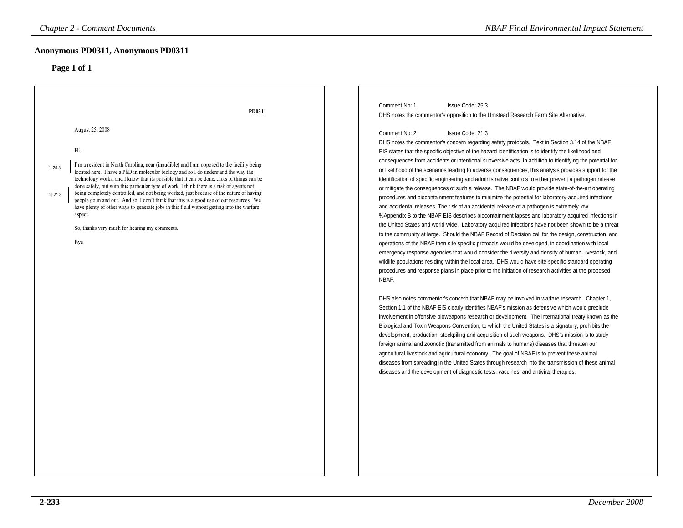| <b>Chapter 2 - Comment Documents</b>                                                                                                                                                                                                                                                                                                                                                                                                                                                                                                                                                                                                                                                                                                                       | <b>NBAF Final Environmental Impact Statement</b>                                                                                                                                                                                                                                                                                                                                                                                                                                                                                                                                                                                                                                                                                                                                                                                                                                                                                                                                                                                                                                                                                                                                                                                                                                                                                                                                                                                                                                                           |
|------------------------------------------------------------------------------------------------------------------------------------------------------------------------------------------------------------------------------------------------------------------------------------------------------------------------------------------------------------------------------------------------------------------------------------------------------------------------------------------------------------------------------------------------------------------------------------------------------------------------------------------------------------------------------------------------------------------------------------------------------------|------------------------------------------------------------------------------------------------------------------------------------------------------------------------------------------------------------------------------------------------------------------------------------------------------------------------------------------------------------------------------------------------------------------------------------------------------------------------------------------------------------------------------------------------------------------------------------------------------------------------------------------------------------------------------------------------------------------------------------------------------------------------------------------------------------------------------------------------------------------------------------------------------------------------------------------------------------------------------------------------------------------------------------------------------------------------------------------------------------------------------------------------------------------------------------------------------------------------------------------------------------------------------------------------------------------------------------------------------------------------------------------------------------------------------------------------------------------------------------------------------------|
| Anonymous PD0311, Anonymous PD0311<br>Page 1 of 1                                                                                                                                                                                                                                                                                                                                                                                                                                                                                                                                                                                                                                                                                                          |                                                                                                                                                                                                                                                                                                                                                                                                                                                                                                                                                                                                                                                                                                                                                                                                                                                                                                                                                                                                                                                                                                                                                                                                                                                                                                                                                                                                                                                                                                            |
| PD0311<br>August 25, 2008                                                                                                                                                                                                                                                                                                                                                                                                                                                                                                                                                                                                                                                                                                                                  | Comment No: 1<br>Issue Code: 25.3<br>DHS notes the commentor's opposition to the Umstead Research Farm Site Alternative.<br>Comment No: 2<br>Issue Code: 21.3<br>DHS notes the commentor's concern regarding safety protocols. Text in Section 3.14 of the NBAF                                                                                                                                                                                                                                                                                                                                                                                                                                                                                                                                                                                                                                                                                                                                                                                                                                                                                                                                                                                                                                                                                                                                                                                                                                            |
| Hi.<br>I'm a resident in North Carolina, near (inaudible) and I am opposed to the facility being<br>1 25.3<br>located here. I have a PhD in molecular biology and so I do understand the way the<br>technology works, and I know that its possible that it can be donelots of things can be<br>done safely, but with this particular type of work, I think there is a risk of agents not<br>being completely controlled, and not being worked, just because of the nature of having<br>2 21.3<br>people go in and out. And so, I don't think that this is a good use of our resources. We<br>have plenty of other ways to generate jobs in this field without getting into the warfare<br>aspect.<br>So, thanks very much for hearing my comments.<br>Bye. | EIS states that the specific objective of the hazard identification is to identify the likelihood and<br>consequences from accidents or intentional subversive acts. In addition to identifying the potential for<br>or likelihood of the scenarios leading to adverse consequences, this analysis provides support for the<br>identification of specific engineering and administrative controls to either prevent a pathogen release<br>or mitigate the consequences of such a release. The NBAF would provide state-of-the-art operating<br>procedures and biocontainment features to minimize the potential for laboratory-acquired infections<br>and accidental releases. The risk of an accidental release of a pathogen is extremely low.<br>%Appendix B to the NBAF EIS describes biocontainment lapses and laboratory acquired infections in<br>the United States and world-wide. Laboratory-acquired infections have not been shown to be a threat<br>to the community at large. Should the NBAF Record of Decision call for the design, construction, and<br>operations of the NBAF then site specific protocols would be developed, in coordination with local<br>emergency response agencies that would consider the diversity and density of human, livestock, and<br>wildlife populations residing within the local area. DHS would have site-specific standard operating<br>procedures and response plans in place prior to the initiation of research activities at the proposed<br>NBAF. |
|                                                                                                                                                                                                                                                                                                                                                                                                                                                                                                                                                                                                                                                                                                                                                            | DHS also notes commentor's concern that NBAF may be involved in warfare research. Chapter 1,<br>Section 1.1 of the NBAF EIS clearly identifies NBAF's mission as defensive which would preclude<br>involvement in offensive bioweapons research or development. The international treaty known as the<br>Biological and Toxin Weapons Convention, to which the United States is a signatory, prohibits the<br>development, production, stockpiling and acquisition of such weapons. DHS's mission is to study<br>foreign animal and zoonotic (transmitted from animals to humans) diseases that threaten our<br>agricultural livestock and agricultural economy. The goal of NBAF is to prevent these animal<br>diseases from spreading in the United States through research into the transmission of these animal<br>diseases and the development of diagnostic tests, vaccines, and antiviral therapies.                                                                                                                                                                                                                                                                                                                                                                                                                                                                                                                                                                                                |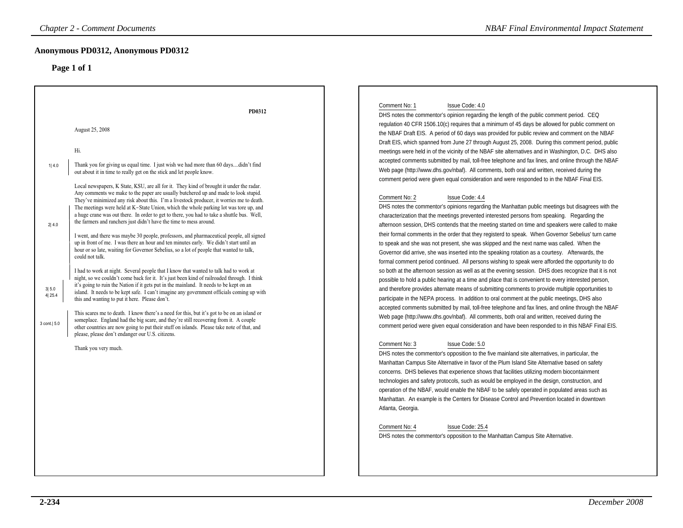| <b>Chapter 2 - Comment Documents</b>                                                                                                                                                                                                                                                                                                                                                                                                                                                                                                                                                                                                                                                                                                                                                                                                                                                                                                                                                                                                                                                                                                                                                                                                                                                                                                                                                                                                                                                                                                                                                                                                                                                                                                                                                                                                                                                                    | <b>NBAF Final Environmental Impact Statement</b>                                                                                                                                                                                                                                                                                                                                                                                                                                                                                                                                                                                                                                                                                                                                                                                                                                                                                                                                                                                                                                                                                                                                                                                                                                                                                                                                                                                                                                                                                                                                                                                                                                                                                                                                                                                                                                                                                                                                                                                                                                                                                                                                                                                                                                                                                                                                                                                                                                                                                                                                                                                                                                                                                                                                                                                                                                                                                                                                                                                                                                                                                             |
|---------------------------------------------------------------------------------------------------------------------------------------------------------------------------------------------------------------------------------------------------------------------------------------------------------------------------------------------------------------------------------------------------------------------------------------------------------------------------------------------------------------------------------------------------------------------------------------------------------------------------------------------------------------------------------------------------------------------------------------------------------------------------------------------------------------------------------------------------------------------------------------------------------------------------------------------------------------------------------------------------------------------------------------------------------------------------------------------------------------------------------------------------------------------------------------------------------------------------------------------------------------------------------------------------------------------------------------------------------------------------------------------------------------------------------------------------------------------------------------------------------------------------------------------------------------------------------------------------------------------------------------------------------------------------------------------------------------------------------------------------------------------------------------------------------------------------------------------------------------------------------------------------------|----------------------------------------------------------------------------------------------------------------------------------------------------------------------------------------------------------------------------------------------------------------------------------------------------------------------------------------------------------------------------------------------------------------------------------------------------------------------------------------------------------------------------------------------------------------------------------------------------------------------------------------------------------------------------------------------------------------------------------------------------------------------------------------------------------------------------------------------------------------------------------------------------------------------------------------------------------------------------------------------------------------------------------------------------------------------------------------------------------------------------------------------------------------------------------------------------------------------------------------------------------------------------------------------------------------------------------------------------------------------------------------------------------------------------------------------------------------------------------------------------------------------------------------------------------------------------------------------------------------------------------------------------------------------------------------------------------------------------------------------------------------------------------------------------------------------------------------------------------------------------------------------------------------------------------------------------------------------------------------------------------------------------------------------------------------------------------------------------------------------------------------------------------------------------------------------------------------------------------------------------------------------------------------------------------------------------------------------------------------------------------------------------------------------------------------------------------------------------------------------------------------------------------------------------------------------------------------------------------------------------------------------------------------------------------------------------------------------------------------------------------------------------------------------------------------------------------------------------------------------------------------------------------------------------------------------------------------------------------------------------------------------------------------------------------------------------------------------------------------------------------------------|
| Anonymous PD0312, Anonymous PD0312<br>Page 1 of 1                                                                                                                                                                                                                                                                                                                                                                                                                                                                                                                                                                                                                                                                                                                                                                                                                                                                                                                                                                                                                                                                                                                                                                                                                                                                                                                                                                                                                                                                                                                                                                                                                                                                                                                                                                                                                                                       |                                                                                                                                                                                                                                                                                                                                                                                                                                                                                                                                                                                                                                                                                                                                                                                                                                                                                                                                                                                                                                                                                                                                                                                                                                                                                                                                                                                                                                                                                                                                                                                                                                                                                                                                                                                                                                                                                                                                                                                                                                                                                                                                                                                                                                                                                                                                                                                                                                                                                                                                                                                                                                                                                                                                                                                                                                                                                                                                                                                                                                                                                                                                              |
| PD0312<br>August 25, 2008<br>Hi.<br>Thank you for giving us equal time. I just wish we had more than 60 daysdidn't find<br>1 4.0<br>out about it in time to really get on the stick and let people know.<br>Local newspapers, K State, KSU, are all for it. They kind of brought it under the radar.<br>Any comments we make to the paper are usually butchered up and made to look stupid.<br>They've minimized any risk about this. I'm a livestock producer, it worries me to death.<br>The meetings were held at K-State Union, which the whole parking lot was tore up, and<br>a huge crane was out there. In order to get to there, you had to take a shuttle bus. Well,<br>the farmers and ranchers just didn't have the time to mess around.<br>2 4.0<br>I went, and there was maybe 30 people, professors, and pharmaceutical people, all signed<br>up in front of me. I was there an hour and ten minutes early. We didn't start until an<br>hour or so late, waiting for Governor Sebelius, so a lot of people that wanted to talk,<br>could not talk.<br>I had to work at night. Several people that I know that wanted to talk had to work at<br>night, so we couldn't come back for it. It's just been kind of railroaded through. I think<br>it's going to ruin the Nation if it gets put in the mainland. It needs to be kept on an<br>3 5.0<br>island. It needs to be kept safe. I can't imagine any government officials coming up with<br>4 25.4<br>this and wanting to put it here. Please don't.<br>This scares me to death. I know there's a need for this, but it's got to be on an island or<br>someplace. England had the big scare, and they're still recovering from it. A couple<br>3 cont.   5.0<br>other countries are now going to put their stuff on islands. Please take note of that, and<br>please, please don't endanger our U.S. citizens.<br>Thank you very much. | Comment No: 1<br>Issue Code: 4.0<br>DHS notes the commentor's opinion regarding the length of the public comment period. CEQ<br>regulation 40 CFR 1506.10(c) requires that a minimum of 45 days be allowed for public comment on<br>the NBAF Draft EIS. A period of 60 days was provided for public review and comment on the NBAF<br>Draft EIS, which spanned from June 27 through August 25, 2008. During this comment period, public<br>meetings were held in of the vicinity of the NBAF site alternatives and in Washington, D.C. DHS also<br>accepted comments submitted by mail, toll-free telephone and fax lines, and online through the NBAF<br>Web page (http://www.dhs.gov/nbaf). All comments, both oral and written, received during the<br>comment period were given equal consideration and were responded to in the NBAF Final EIS.<br>Comment No: 2<br><b>Issue Code: 4.4</b><br>DHS notes the commentor's opinions regarding the Manhattan public meetings but disagrees with the<br>characterization that the meetings prevented interested persons from speaking. Regarding the<br>afternoon session, DHS contends that the meeting started on time and speakers were called to make<br>their formal comments in the order that they registerd to speak. When Governor Sebelius' turn came<br>to speak and she was not present, she was skipped and the next name was called. When the<br>Governor did arrive, she was inserted into the speaking rotation as a courtesy. Afterwards, the<br>formal comment period continued. All persons wishing to speak were afforded the opportunity to do<br>so both at the afternoon session as well as at the evening session. DHS does recognize that it is not<br>possible to hold a public hearing at a time and place that is convenient to every interested person,<br>and therefore provides alternate means of submitting comments to provide multiple opportunities to<br>participate in the NEPA process. In addition to oral comment at the public meetings, DHS also<br>accepted comments submitted by mail, toll-free telephone and fax lines, and online through the NBAF<br>Web page (http://www.dhs.gov/nbaf). All comments, both oral and written, received during the<br>comment period were given equal consideration and have been responded to in this NBAF Final EIS.<br>Issue Code: 5.0<br>Comment No: 3<br>DHS notes the commentor's opposition to the five mainland site alternatives, in particular, the<br>Manhattan Campus Site Alternative in favor of the Plum Island Site Alternative based on safety<br>concerns. DHS believes that experience shows that facilities utilizing modern biocontainment<br>technologies and safety protocols, such as would be employed in the design, construction, and<br>operation of the NBAF, would enable the NBAF to be safely operated in populated areas such as<br>Manhattan. An example is the Centers for Disease Control and Prevention located in downtown<br>Atlanta, Georgia.<br>Comment No: 4<br>Issue Code: 25.4<br>DHS notes the commentor's opposition to the Manhattan Campus Site Alternative. |